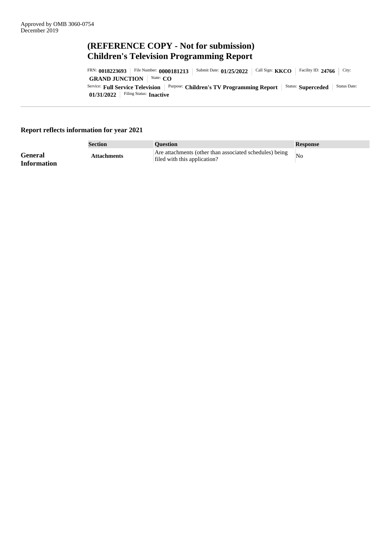# **(REFERENCE COPY - Not for submission) Children's Television Programming Report**

**01/31/2022** Filing Status: **Inactive** Service: **Full Service Television** Purpose: **Children's TV Programming Report** Status: **Superceded** Status Date: **GRAND JUNCTION** State: **CO** FRN: 0018223693 | File Number: 0000181213 | Submit Date: 01/25/2022 | Call Sign: **KKCO** | Facility ID: 24766 | City:

# **Report reflects information for year 2021**

|                                      | Section            | <b>Question</b>                                                                         | <b>Response</b> |
|--------------------------------------|--------------------|-----------------------------------------------------------------------------------------|-----------------|
| <b>General</b><br><b>Information</b> | <b>Attachments</b> | Are attachments (other than associated schedules) being<br>filed with this application? | N <sub>O</sub>  |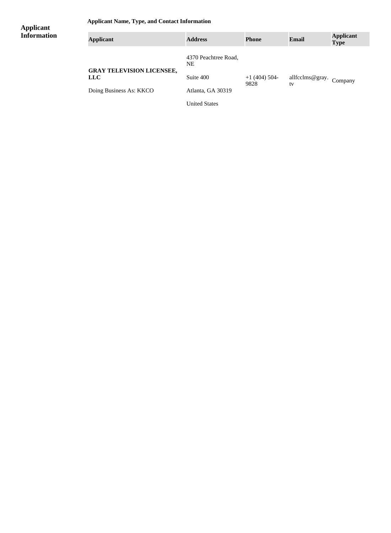**Applicant Name, Type, and Contact Information**

## **Applicant Information**

| <b>Applicant</b>                               | <b>Address</b>             | <b>Phone</b>           | Email                         | <b>Applicant</b><br><b>Type</b> |
|------------------------------------------------|----------------------------|------------------------|-------------------------------|---------------------------------|
|                                                | 4370 Peachtree Road,<br>NE |                        |                               |                                 |
| <b>GRAY TELEVISION LICENSEE,</b><br><b>LLC</b> | Suite 400                  | $+1(404)$ 504-<br>9828 | allfcclms@gray. Company<br>tv |                                 |
| Doing Business As: KKCO                        | Atlanta, GA 30319          |                        |                               |                                 |
|                                                | <b>United States</b>       |                        |                               |                                 |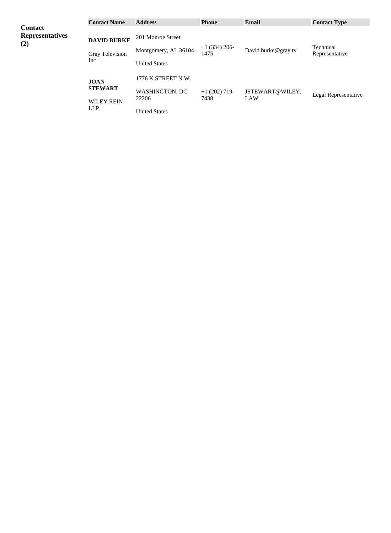|                                                 | <b>Contact Name</b>                                       | <b>Address</b>                                                               | <b>Phone</b>            | Email                  | <b>Contact Type</b>         |
|-------------------------------------------------|-----------------------------------------------------------|------------------------------------------------------------------------------|-------------------------|------------------------|-----------------------------|
| <b>Contact</b><br><b>Representatives</b><br>(2) | <b>DAVID BURKE</b><br><b>Gray Television</b><br>Inc       | 201 Monroe Street<br>Montgomery, AL 36104<br><b>United States</b>            | $+1$ (334) 206-<br>1475 | David.burke@gray.tv    | Technical<br>Representative |
|                                                 | <b>JOAN</b><br><b>STEWART</b><br><b>WILEY REIN</b><br>LLP | 1776 K STREET N.W.<br><b>WASHINGTON, DC</b><br>22206<br><b>United States</b> | $+1(202)$ 719-<br>7438  | JSTEWART@WILEY.<br>LAW | Legal Representative        |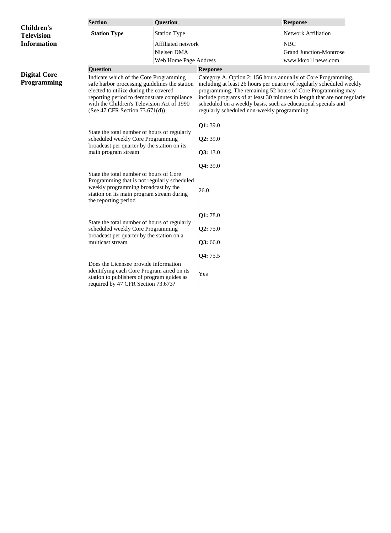|                                                                                                                                                                                                    | <b>Section</b>                                                                                                                                                                                                                                                    | <b>Question</b>       |                                                                                                                                                                                                                                                                                                                                                                                                   | <b>Response</b>                |  |
|----------------------------------------------------------------------------------------------------------------------------------------------------------------------------------------------------|-------------------------------------------------------------------------------------------------------------------------------------------------------------------------------------------------------------------------------------------------------------------|-----------------------|---------------------------------------------------------------------------------------------------------------------------------------------------------------------------------------------------------------------------------------------------------------------------------------------------------------------------------------------------------------------------------------------------|--------------------------------|--|
| <b>Children's</b><br><b>Television</b>                                                                                                                                                             | <b>Station Type</b>                                                                                                                                                                                                                                               | <b>Station Type</b>   |                                                                                                                                                                                                                                                                                                                                                                                                   | <b>Network Affiliation</b>     |  |
| <b>Information</b>                                                                                                                                                                                 |                                                                                                                                                                                                                                                                   | Affiliated network    |                                                                                                                                                                                                                                                                                                                                                                                                   | <b>NBC</b>                     |  |
|                                                                                                                                                                                                    |                                                                                                                                                                                                                                                                   | Nielsen DMA           |                                                                                                                                                                                                                                                                                                                                                                                                   | <b>Grand Junction-Montrose</b> |  |
|                                                                                                                                                                                                    |                                                                                                                                                                                                                                                                   | Web Home Page Address |                                                                                                                                                                                                                                                                                                                                                                                                   | www.kkco11news.com             |  |
|                                                                                                                                                                                                    | <b>Question</b>                                                                                                                                                                                                                                                   |                       | <b>Response</b>                                                                                                                                                                                                                                                                                                                                                                                   |                                |  |
| <b>Digital Core</b><br><b>Programming</b>                                                                                                                                                          | Indicate which of the Core Programming<br>safe harbor processing guidelines the station<br>elected to utilize during the covered<br>reporting period to demonstrate compliance<br>with the Children's Television Act of 1990<br>(See 47 CFR Section $73.671(d)$ ) |                       | Category A, Option 2: 156 hours annually of Core Programming,<br>including at least 26 hours per quarter of regularly scheduled weekly<br>programming. The remaining 52 hours of Core Programming may<br>include programs of at least 30 minutes in length that are not regularly<br>scheduled on a weekly basis, such as educational specials and<br>regularly scheduled non-weekly programming. |                                |  |
|                                                                                                                                                                                                    | State the total number of hours of regularly<br>scheduled weekly Core Programming<br>broadcast per quarter by the station on its<br>main program stream                                                                                                           |                       | Q1: 39.0                                                                                                                                                                                                                                                                                                                                                                                          |                                |  |
|                                                                                                                                                                                                    |                                                                                                                                                                                                                                                                   |                       | Q2:39.0                                                                                                                                                                                                                                                                                                                                                                                           |                                |  |
|                                                                                                                                                                                                    |                                                                                                                                                                                                                                                                   |                       | Q3:13.0                                                                                                                                                                                                                                                                                                                                                                                           |                                |  |
|                                                                                                                                                                                                    |                                                                                                                                                                                                                                                                   |                       | [ <b>Q4</b> : 39.0]                                                                                                                                                                                                                                                                                                                                                                               |                                |  |
| State the total number of hours of Core<br>Programming that is not regularly scheduled<br>weekly programming broadcast by the<br>station on its main program stream during<br>the reporting period |                                                                                                                                                                                                                                                                   |                       | 26.0                                                                                                                                                                                                                                                                                                                                                                                              |                                |  |
|                                                                                                                                                                                                    |                                                                                                                                                                                                                                                                   |                       | Q1:78.0                                                                                                                                                                                                                                                                                                                                                                                           |                                |  |
|                                                                                                                                                                                                    | State the total number of hours of regularly<br>scheduled weekly Core Programming<br>broadcast per quarter by the station on a<br>multicast stream                                                                                                                |                       | Q2:75.0                                                                                                                                                                                                                                                                                                                                                                                           |                                |  |
|                                                                                                                                                                                                    |                                                                                                                                                                                                                                                                   |                       | Q3:66.0                                                                                                                                                                                                                                                                                                                                                                                           |                                |  |
|                                                                                                                                                                                                    |                                                                                                                                                                                                                                                                   |                       | <b>Q4:</b> 75.5                                                                                                                                                                                                                                                                                                                                                                                   |                                |  |
| Does the Licensee provide information<br>identifying each Core Program aired on its<br>station to publishers of program guides as<br>required by 47 CFR Section 73.673?                            |                                                                                                                                                                                                                                                                   | Yes                   |                                                                                                                                                                                                                                                                                                                                                                                                   |                                |  |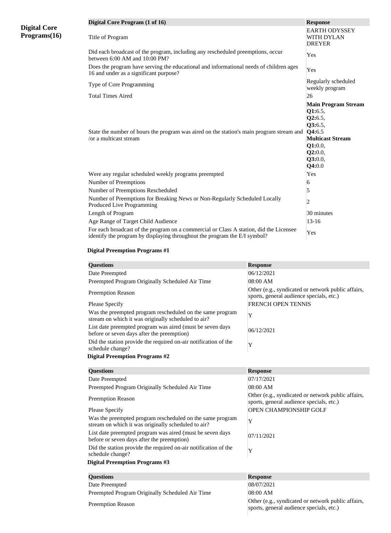|                                     | Digital Core Program (1 of 16)                                                                                                                                      | <b>Response</b>                                                                                                                             |
|-------------------------------------|---------------------------------------------------------------------------------------------------------------------------------------------------------------------|---------------------------------------------------------------------------------------------------------------------------------------------|
| <b>Digital Core</b><br>Programs(16) | Title of Program                                                                                                                                                    | <b>EARTH ODYSSEY</b><br><b>WITH DYLAN</b><br><b>DREYER</b>                                                                                  |
|                                     | Did each broadcast of the program, including any rescheduled preemptions, occur<br>between 6:00 AM and 10:00 PM?                                                    | Yes                                                                                                                                         |
|                                     | Does the program have serving the educational and informational needs of children ages<br>16 and under as a significant purpose?                                    | Yes                                                                                                                                         |
|                                     | Type of Core Programming                                                                                                                                            | Regularly scheduled<br>weekly program                                                                                                       |
|                                     | <b>Total Times Aired</b>                                                                                                                                            | 26                                                                                                                                          |
|                                     | State the number of hours the program was aired on the station's main program stream and<br>/or a multicast stream                                                  | <b>Main Program Stream</b><br>Q1:6.5,<br>Q2:6.5,<br>Q3:6.5,<br>Q4:6.5<br><b>Multicast Stream</b><br>Q1:0.0,<br>Q2:0.0,<br>Q3:0.0,<br>Q4:0.0 |
|                                     | Were any regular scheduled weekly programs preempted                                                                                                                | Yes                                                                                                                                         |
|                                     | Number of Preemptions                                                                                                                                               | 6                                                                                                                                           |
|                                     | Number of Preemptions Rescheduled                                                                                                                                   | 5                                                                                                                                           |
|                                     | Number of Preemptions for Breaking News or Non-Regularly Scheduled Locally<br>Produced Live Programming                                                             | $\overline{c}$                                                                                                                              |
|                                     | Length of Program                                                                                                                                                   | 30 minutes                                                                                                                                  |
|                                     | Age Range of Target Child Audience                                                                                                                                  | $13 - 16$                                                                                                                                   |
|                                     | For each broadcast of the program on a commercial or Class A station, did the Licensee<br>identify the program by displaying throughout the program the E/I symbol? | Yes                                                                                                                                         |

| <b>Questions</b>                                                                                                 | <b>Response</b>                                                                                |
|------------------------------------------------------------------------------------------------------------------|------------------------------------------------------------------------------------------------|
| Date Preempted                                                                                                   | 06/12/2021                                                                                     |
| Preempted Program Originally Scheduled Air Time                                                                  | 08:00 AM                                                                                       |
| <b>Preemption Reason</b>                                                                                         | Other (e.g., syndicated or network public affairs,<br>sports, general audience specials, etc.) |
| <b>Please Specify</b>                                                                                            | <b>FRENCH OPEN TENNIS</b>                                                                      |
| Was the preempted program rescheduled on the same program<br>stream on which it was originally scheduled to air? | Y                                                                                              |
| List date preempted program was aired (must be seven days<br>before or seven days after the preemption)          | 06/12/2021                                                                                     |
| Did the station provide the required on-air notification of the<br>schedule change?                              | Y                                                                                              |
| <b>Digital Preemption Programs #2</b>                                                                            |                                                                                                |
| <b>Questions</b>                                                                                                 | <b>Response</b>                                                                                |
| Date Preempted                                                                                                   | 07/17/2021                                                                                     |
| Preempted Program Originally Scheduled Air Time                                                                  | 08:00 AM                                                                                       |
| <b>Preemption Reason</b>                                                                                         | Other (e.g., syndicated or network public affairs,<br>sports, general audience specials, etc.) |
| <b>Please Specify</b>                                                                                            | OPEN CHAMPIONSHIP GOLF                                                                         |
| Was the preempted program rescheduled on the same program<br>stream on which it was originally scheduled to air? | Y                                                                                              |
| List date preempted program was aired (must be seven days<br>before or seven days after the preemption)          | 07/11/2021                                                                                     |
| Did the station provide the required on-air notification of the<br>schedule change?                              | Y                                                                                              |
| <b>Digital Preemption Programs #3</b>                                                                            |                                                                                                |
| <b>Questions</b>                                                                                                 | <b>Response</b>                                                                                |
| Date Preempted                                                                                                   | 08/07/2021                                                                                     |
| Preempted Program Originally Scheduled Air Time                                                                  | 08:00 AM                                                                                       |
| <b>Preemption Reason</b>                                                                                         | Other (e.g., syndicated or network public affairs,<br>sports, general audience specials, etc.) |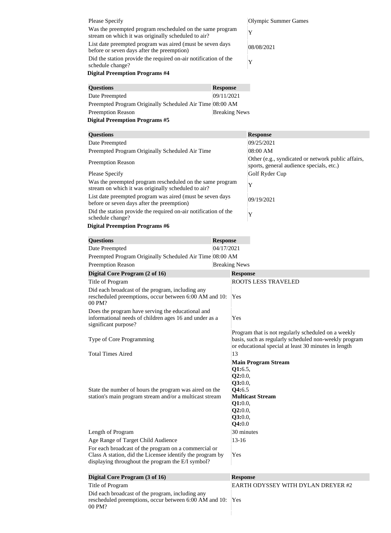| <b>Please Specify</b>                                                                                                                                                  |                      |                                                                                                                                                                      | Olympic Summer Games                               |
|------------------------------------------------------------------------------------------------------------------------------------------------------------------------|----------------------|----------------------------------------------------------------------------------------------------------------------------------------------------------------------|----------------------------------------------------|
| Was the preempted program rescheduled on the same program                                                                                                              |                      |                                                                                                                                                                      | Y                                                  |
| stream on which it was originally scheduled to air?                                                                                                                    |                      |                                                                                                                                                                      |                                                    |
| List date preempted program was aired (must be seven days<br>before or seven days after the preemption)                                                                |                      |                                                                                                                                                                      | 08/08/2021                                         |
| Did the station provide the required on-air notification of the<br>schedule change?                                                                                    |                      |                                                                                                                                                                      | Y                                                  |
| <b>Digital Preemption Programs #4</b>                                                                                                                                  |                      |                                                                                                                                                                      |                                                    |
| <b>Questions</b>                                                                                                                                                       | <b>Response</b>      |                                                                                                                                                                      |                                                    |
| Date Preempted                                                                                                                                                         | 09/11/2021           |                                                                                                                                                                      |                                                    |
| Preempted Program Originally Scheduled Air Time 08:00 AM                                                                                                               |                      |                                                                                                                                                                      |                                                    |
| <b>Preemption Reason</b>                                                                                                                                               | <b>Breaking News</b> |                                                                                                                                                                      |                                                    |
| <b>Digital Preemption Programs #5</b>                                                                                                                                  |                      |                                                                                                                                                                      |                                                    |
| <b>Questions</b>                                                                                                                                                       |                      |                                                                                                                                                                      | <b>Response</b>                                    |
| Date Preempted                                                                                                                                                         |                      |                                                                                                                                                                      | 09/25/2021                                         |
| Preempted Program Originally Scheduled Air Time                                                                                                                        |                      |                                                                                                                                                                      | 08:00 AM                                           |
|                                                                                                                                                                        |                      |                                                                                                                                                                      | Other (e.g., syndicated or network public affairs, |
| <b>Preemption Reason</b>                                                                                                                                               |                      |                                                                                                                                                                      | sports, general audience specials, etc.)           |
| Please Specify                                                                                                                                                         |                      |                                                                                                                                                                      | Golf Ryder Cup                                     |
| Was the preempted program rescheduled on the same program<br>stream on which it was originally scheduled to air?                                                       |                      |                                                                                                                                                                      | Y                                                  |
| List date preempted program was aired (must be seven days<br>before or seven days after the preemption)                                                                |                      |                                                                                                                                                                      | 09/19/2021                                         |
| Did the station provide the required on-air notification of the<br>schedule change?                                                                                    |                      |                                                                                                                                                                      | Y                                                  |
| <b>Digital Preemption Programs #6</b>                                                                                                                                  |                      |                                                                                                                                                                      |                                                    |
| <b>Questions</b>                                                                                                                                                       | <b>Response</b>      |                                                                                                                                                                      |                                                    |
| Date Preempted                                                                                                                                                         | 04/17/2021           |                                                                                                                                                                      |                                                    |
| Preempted Program Originally Scheduled Air Time 08:00 AM                                                                                                               |                      |                                                                                                                                                                      |                                                    |
| <b>Preemption Reason</b>                                                                                                                                               | <b>Breaking News</b> |                                                                                                                                                                      |                                                    |
| Digital Core Program (2 of 16)                                                                                                                                         |                      | <b>Response</b>                                                                                                                                                      |                                                    |
| Title of Program                                                                                                                                                       |                      |                                                                                                                                                                      | <b>ROOTS LESS TRAVELED</b>                         |
| Did each broadcast of the program, including any<br>rescheduled preemptions, occur between 6:00 AM and 10:<br>00 PM?                                                   |                      | Yes                                                                                                                                                                  |                                                    |
| Does the program have serving the educational and<br>informational needs of children ages 16 and under as a<br>significant purpose?                                    |                      | Yes                                                                                                                                                                  |                                                    |
| Type of Core Programming                                                                                                                                               |                      | Program that is not regularly scheduled on a weekly<br>basis, such as regularly scheduled non-weekly program<br>or educational special at least 30 minutes in length |                                                    |
| <b>Total Times Aired</b>                                                                                                                                               |                      | 13                                                                                                                                                                   |                                                    |
|                                                                                                                                                                        |                      |                                                                                                                                                                      | <b>Main Program Stream</b>                         |
|                                                                                                                                                                        |                      | Q1:6.5,                                                                                                                                                              |                                                    |
|                                                                                                                                                                        |                      | Q2:0.0,                                                                                                                                                              |                                                    |
|                                                                                                                                                                        |                      | Q3:0.0,<br>Q4:6.5                                                                                                                                                    |                                                    |
| State the number of hours the program was aired on the<br>station's main program stream and/or a multicast stream                                                      |                      |                                                                                                                                                                      | <b>Multicast Stream</b>                            |
|                                                                                                                                                                        |                      | Q1:0.0,                                                                                                                                                              |                                                    |
|                                                                                                                                                                        |                      | Q2:0.0,                                                                                                                                                              |                                                    |
|                                                                                                                                                                        |                      | Q3:0.0,                                                                                                                                                              |                                                    |
|                                                                                                                                                                        |                      | Q4:0.0                                                                                                                                                               |                                                    |
| Length of Program                                                                                                                                                      |                      | 30 minutes                                                                                                                                                           |                                                    |
| Age Range of Target Child Audience                                                                                                                                     |                      | $13 - 16$                                                                                                                                                            |                                                    |
| For each broadcast of the program on a commercial or<br>Class A station, did the Licensee identify the program by<br>displaying throughout the program the E/I symbol? |                      | Yes                                                                                                                                                                  |                                                    |
| <b>Digital Core Program (3 of 16)</b>                                                                                                                                  |                      | <b>Response</b>                                                                                                                                                      |                                                    |
| Title of Program                                                                                                                                                       |                      |                                                                                                                                                                      | EARTH ODYSSEY WITH DYLAN DREYER #2                 |
| Did each broadcast of the program, including any<br>rescheduled preemptions, occur between 6:00 AM and 10:<br>00 PM?                                                   |                      | Yes                                                                                                                                                                  |                                                    |
|                                                                                                                                                                        |                      |                                                                                                                                                                      |                                                    |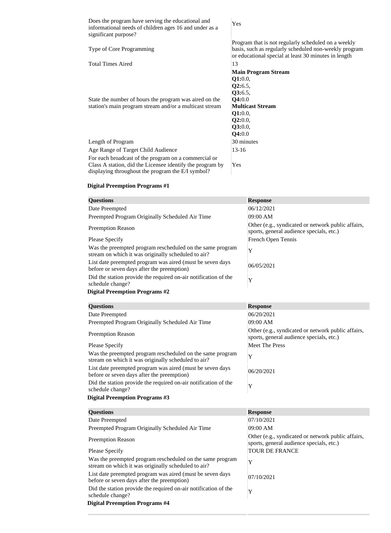Does the program have serving the educational and informational needs of children ages 16 and under as a significant purpose?

Yes

|                                                           | Program that is not regularly scheduled on a weekly   |
|-----------------------------------------------------------|-------------------------------------------------------|
| <b>Type of Core Programming</b>                           | basis, such as regularly scheduled non-weekly program |
|                                                           | or educational special at least 30 minutes in length  |
| <b>Total Times Aired</b>                                  | 13                                                    |
|                                                           | <b>Main Program Stream</b>                            |
|                                                           | Q1:0.0,                                               |
|                                                           | Q2:6.5,                                               |
|                                                           | <b>Q3:</b> 6.5,                                       |
| State the number of hours the program was aired on the    | <b>Q4:0.0</b>                                         |
| station's main program stream and/or a multicast stream   | <b>Multicast Stream</b>                               |
|                                                           | Q1:0.0,                                               |
|                                                           | Q2:0.0,                                               |
|                                                           | <b>Q3:0.0,</b>                                        |
|                                                           | Q4:0.0                                                |
| Length of Program                                         | 30 minutes                                            |
| Age Range of Target Child Audience                        | 13-16                                                 |
| For each broadcast of the program on a commercial or      |                                                       |
| Class A station, did the Licensee identify the program by | Yes                                                   |

#### **Digital Preemption Programs #1**

the control of the control of the control of the

displaying throughout the program the E/I symbol?

| <b>Questions</b>                                                                                                 | <b>Response</b>                                                                                |
|------------------------------------------------------------------------------------------------------------------|------------------------------------------------------------------------------------------------|
| Date Preempted                                                                                                   | 06/12/2021                                                                                     |
| Preempted Program Originally Scheduled Air Time                                                                  | 09:00 AM                                                                                       |
| <b>Preemption Reason</b>                                                                                         | Other (e.g., syndicated or network public affairs,<br>sports, general audience specials, etc.) |
| <b>Please Specify</b>                                                                                            | French Open Tennis                                                                             |
| Was the preempted program rescheduled on the same program<br>stream on which it was originally scheduled to air? | Y                                                                                              |
| List date preempted program was aired (must be seven days<br>before or seven days after the preemption)          | 06/05/2021                                                                                     |
| Did the station provide the required on-air notification of the<br>schedule change?                              | Y                                                                                              |
| <b>Digital Preemption Programs #2</b>                                                                            |                                                                                                |
| <b>Questions</b>                                                                                                 | <b>Response</b>                                                                                |
| Date Preempted                                                                                                   | 06/20/2021                                                                                     |
| Preempted Program Originally Scheduled Air Time                                                                  | 09:00 AM                                                                                       |
|                                                                                                                  | Other (e.g., syndicated or network public affairs,                                             |
| <b>Preemption Reason</b>                                                                                         | sports, general audience specials, etc.)                                                       |
| <b>Please Specify</b>                                                                                            | <b>Meet The Press</b>                                                                          |
| Was the preempted program rescheduled on the same program<br>stream on which it was originally scheduled to air? | Y                                                                                              |
| List date preempted program was aired (must be seven days<br>before or seven days after the preemption)          | 06/20/2021                                                                                     |
| Did the station provide the required on-air notification of the<br>schedule change?                              | Y                                                                                              |
| <b>Digital Preemption Programs #3</b>                                                                            |                                                                                                |
| <b>Questions</b>                                                                                                 | <b>Response</b>                                                                                |
| Date Preempted                                                                                                   | 07/10/2021                                                                                     |
| Preempted Program Originally Scheduled Air Time                                                                  | 09:00 AM                                                                                       |
| <b>Preemption Reason</b>                                                                                         | Other (e.g., syndicated or network public affairs,<br>sports, general audience specials, etc.) |
| <b>Please Specify</b>                                                                                            | <b>TOUR DE FRANCE</b>                                                                          |
| Was the preempted program rescheduled on the same program<br>stream on which it was originally scheduled to air? | Y                                                                                              |
| List date preempted program was aired (must be seven days<br>before or seven days after the preemption)          | 07/10/2021                                                                                     |
| Did the station provide the required on-air notification of the<br>schedule change?                              | Y                                                                                              |
| <b>Digital Preemption Programs #4</b>                                                                            |                                                                                                |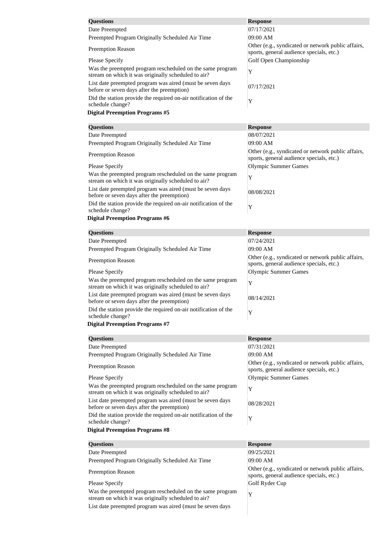| <b>Questions</b>                                                                                                 | <b>Response</b>                                                                                |
|------------------------------------------------------------------------------------------------------------------|------------------------------------------------------------------------------------------------|
| Date Preempted                                                                                                   | 07/17/2021                                                                                     |
| Preempted Program Originally Scheduled Air Time                                                                  | 09:00 AM                                                                                       |
| <b>Preemption Reason</b>                                                                                         | Other (e.g., syndicated or network public affairs,<br>sports, general audience specials, etc.) |
| <b>Please Specify</b>                                                                                            | Golf Open Championship                                                                         |
| Was the preempted program rescheduled on the same program                                                        | Y                                                                                              |
| stream on which it was originally scheduled to air?<br>List date preempted program was aired (must be seven days |                                                                                                |
| before or seven days after the preemption)                                                                       | 07/17/2021                                                                                     |
| Did the station provide the required on-air notification of the                                                  | Y                                                                                              |
| schedule change?<br><b>Digital Preemption Programs #5</b>                                                        |                                                                                                |
|                                                                                                                  |                                                                                                |
| <b>Questions</b>                                                                                                 | <b>Response</b>                                                                                |
| Date Preempted                                                                                                   | 08/07/2021                                                                                     |
| Preempted Program Originally Scheduled Air Time                                                                  | 09:00 AM                                                                                       |
| <b>Preemption Reason</b>                                                                                         | Other (e.g., syndicated or network public affairs,<br>sports, general audience specials, etc.) |
| <b>Please Specify</b>                                                                                            | <b>Olympic Summer Games</b>                                                                    |
| Was the preempted program rescheduled on the same program                                                        |                                                                                                |
| stream on which it was originally scheduled to air?                                                              | Y                                                                                              |
| List date preempted program was aired (must be seven days<br>before or seven days after the preemption)          | 08/08/2021                                                                                     |
| Did the station provide the required on-air notification of the                                                  | Y                                                                                              |
| schedule change?                                                                                                 |                                                                                                |
| <b>Digital Preemption Programs #6</b>                                                                            |                                                                                                |
| <b>Questions</b>                                                                                                 | <b>Response</b>                                                                                |
| Date Preempted                                                                                                   | 07/24/2021                                                                                     |
| Preempted Program Originally Scheduled Air Time                                                                  | 09:00 AM                                                                                       |
| <b>Preemption Reason</b>                                                                                         | Other (e.g., syndicated or network public affairs,                                             |
| <b>Please Specify</b>                                                                                            | sports, general audience specials, etc.)<br><b>Olympic Summer Games</b>                        |
| Was the preempted program rescheduled on the same program                                                        |                                                                                                |
| stream on which it was originally scheduled to air?                                                              | Y                                                                                              |
| List date preempted program was aired (must be seven days<br>before or seven days after the preemption)          | 08/14/2021                                                                                     |
| Did the station provide the required on-air notification of the<br>schedule change?                              | Y                                                                                              |
| <b>Digital Preemption Programs #7</b>                                                                            |                                                                                                |
| <b>Questions</b>                                                                                                 | <b>Response</b>                                                                                |
| Date Preempted                                                                                                   | 07/31/2021                                                                                     |
| Preempted Program Originally Scheduled Air Time                                                                  | 09:00 AM                                                                                       |
|                                                                                                                  | Other (e.g., syndicated or network public affairs,                                             |
| <b>Preemption Reason</b>                                                                                         | sports, general audience specials, etc.)                                                       |
| <b>Please Specify</b>                                                                                            | <b>Olympic Summer Games</b>                                                                    |
| Was the preempted program rescheduled on the same program<br>stream on which it was originally scheduled to air? | Y                                                                                              |
| List date preempted program was aired (must be seven days<br>before or seven days after the preemption)          | 08/28/2021                                                                                     |
| Did the station provide the required on-air notification of the<br>schedule change?                              | Y                                                                                              |
| <b>Digital Preemption Programs #8</b>                                                                            |                                                                                                |
| <b>Questions</b>                                                                                                 | <b>Response</b>                                                                                |
| Date Preempted                                                                                                   | 09/25/2021                                                                                     |
| Preempted Program Originally Scheduled Air Time                                                                  | 09:00 AM                                                                                       |
| <b>Preemption Reason</b>                                                                                         | Other (e.g., syndicated or network public affairs,                                             |
|                                                                                                                  | sports, general audience specials, etc.)                                                       |
| Please Specify<br>Was the preempted program rescheduled on the same program                                      | Golf Ryder Cup                                                                                 |
| stream on which it was originally scheduled to air?                                                              | Y                                                                                              |
| List date preempted program was aired (must be seven days                                                        |                                                                                                |
|                                                                                                                  |                                                                                                |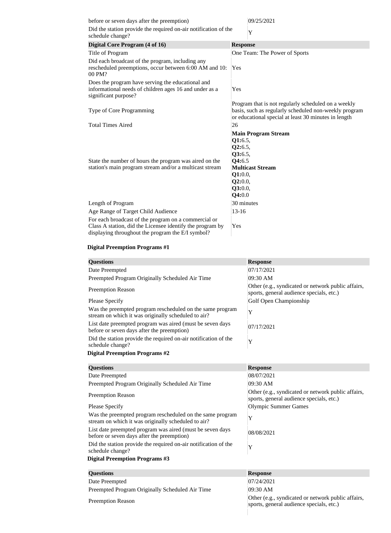|                                                                                    | 09/25/2021                                                                                                                                                           |
|------------------------------------------------------------------------------------|----------------------------------------------------------------------------------------------------------------------------------------------------------------------|
| Did the station provide the required on-air notification of the                    | Y                                                                                                                                                                    |
| <b>Response</b>                                                                    |                                                                                                                                                                      |
|                                                                                    | One Team: The Power of Sports                                                                                                                                        |
| Yes                                                                                |                                                                                                                                                                      |
| Yes                                                                                |                                                                                                                                                                      |
|                                                                                    | Program that is not regularly scheduled on a weekly<br>basis, such as regularly scheduled non-weekly program<br>or educational special at least 30 minutes in length |
| 26                                                                                 |                                                                                                                                                                      |
| Q1:6.5,<br>Q2:6.5,<br>Q3:6.5,<br>Q4:6.5<br>Q1:0.0,<br>Q2:0.0,<br>Q3:0.0,<br>Q4:0.0 | <b>Main Program Stream</b><br><b>Multicast Stream</b>                                                                                                                |
| 30 minutes                                                                         |                                                                                                                                                                      |
| $13 - 16$                                                                          |                                                                                                                                                                      |
| Yes                                                                                |                                                                                                                                                                      |
|                                                                                    |                                                                                                                                                                      |

| <b>Questions</b>                                                                                                 | <b>Response</b>                                                                                |
|------------------------------------------------------------------------------------------------------------------|------------------------------------------------------------------------------------------------|
| Date Preempted                                                                                                   | 07/17/2021                                                                                     |
| Preempted Program Originally Scheduled Air Time                                                                  | 09:30 AM                                                                                       |
| <b>Preemption Reason</b>                                                                                         | Other (e.g., syndicated or network public affairs,<br>sports, general audience specials, etc.) |
| <b>Please Specify</b>                                                                                            | Golf Open Championship                                                                         |
| Was the preempted program rescheduled on the same program<br>stream on which it was originally scheduled to air? | Y                                                                                              |
| List date preempted program was aired (must be seven days<br>before or seven days after the preemption)          | 07/17/2021                                                                                     |
| Did the station provide the required on-air notification of the<br>schedule change?                              | Y                                                                                              |
| <b>Digital Preemption Programs #2</b>                                                                            |                                                                                                |
| <b>Ouestions</b>                                                                                                 | <b>Response</b>                                                                                |

| <b>Questions</b>                                                                                                 | <b>TTCphone</b>                                                                                |
|------------------------------------------------------------------------------------------------------------------|------------------------------------------------------------------------------------------------|
| Date Preempted                                                                                                   | 08/07/2021                                                                                     |
| Preempted Program Originally Scheduled Air Time                                                                  | 09:30 AM                                                                                       |
| <b>Preemption Reason</b>                                                                                         | Other (e.g., syndicated or network public affairs,<br>sports, general audience specials, etc.) |
| <b>Please Specify</b>                                                                                            | <b>Olympic Summer Games</b>                                                                    |
| Was the preempted program rescheduled on the same program<br>stream on which it was originally scheduled to air? | Y                                                                                              |
| List date preempted program was aired (must be seven days<br>before or seven days after the preemption)          | 08/08/2021                                                                                     |
| Did the station provide the required on-air notification of the<br>schedule change?                              | Y                                                                                              |
| <b>Digital Preemption Programs #3</b>                                                                            |                                                                                                |
| <b>Questions</b>                                                                                                 | <b>Response</b>                                                                                |
| Date Preempted                                                                                                   | 07/24/2021                                                                                     |
| Preempted Program Originally Scheduled Air Time                                                                  | 09:30 AM                                                                                       |
| <b>Preemption Reason</b>                                                                                         | Other (e.g., syndicated or network public affairs,<br>sports, general audience specials, etc.) |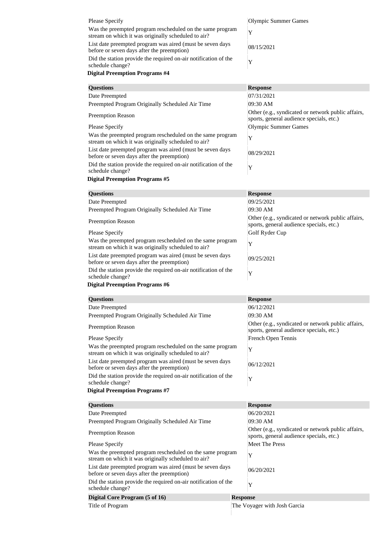| <b>Please Specify</b>                                                                                            | Olympic Summer Games                                                                           |
|------------------------------------------------------------------------------------------------------------------|------------------------------------------------------------------------------------------------|
| Was the preempted program rescheduled on the same program                                                        | Y                                                                                              |
| stream on which it was originally scheduled to air?<br>List date preempted program was aired (must be seven days | 08/15/2021                                                                                     |
| before or seven days after the preemption)                                                                       |                                                                                                |
| Did the station provide the required on-air notification of the<br>schedule change?                              | Y                                                                                              |
| <b>Digital Preemption Programs #4</b>                                                                            |                                                                                                |
| <b>Questions</b>                                                                                                 | <b>Response</b>                                                                                |
| Date Preempted                                                                                                   | 07/31/2021                                                                                     |
| Preempted Program Originally Scheduled Air Time                                                                  | 09:30 AM                                                                                       |
| <b>Preemption Reason</b>                                                                                         | Other (e.g., syndicated or network public affairs,<br>sports, general audience specials, etc.) |
| <b>Please Specify</b>                                                                                            | Olympic Summer Games                                                                           |
| Was the preempted program rescheduled on the same program<br>stream on which it was originally scheduled to air? | Y                                                                                              |
| List date preempted program was aired (must be seven days<br>before or seven days after the preemption)          | 08/29/2021                                                                                     |
| Did the station provide the required on-air notification of the<br>schedule change?                              | Y                                                                                              |
| <b>Digital Preemption Programs #5</b>                                                                            |                                                                                                |
| <b>Questions</b>                                                                                                 | <b>Response</b>                                                                                |
| Date Preempted                                                                                                   | 09/25/2021                                                                                     |
| Preempted Program Originally Scheduled Air Time                                                                  | 09:30 AM                                                                                       |
| <b>Preemption Reason</b>                                                                                         | Other (e.g., syndicated or network public affairs,<br>sports, general audience specials, etc.) |
| <b>Please Specify</b>                                                                                            | Golf Ryder Cup                                                                                 |
| Was the preempted program rescheduled on the same program<br>stream on which it was originally scheduled to air? | Y                                                                                              |
| List date preempted program was aired (must be seven days<br>before or seven days after the preemption)          | 09/25/2021                                                                                     |
|                                                                                                                  |                                                                                                |
| Did the station provide the required on-air notification of the<br>schedule change?                              | Y                                                                                              |
| <b>Digital Preemption Programs #6</b>                                                                            |                                                                                                |
| <b>Questions</b>                                                                                                 | <b>Response</b>                                                                                |
| Date Preempted                                                                                                   | 06/12/2021                                                                                     |
| Preempted Program Originally Scheduled Air Time                                                                  | 09:30 AM                                                                                       |
| <b>Preemption Reason</b>                                                                                         | Other (e.g., syndicated or network public affairs,<br>sports, general audience specials, etc.) |
| <b>Please Specify</b>                                                                                            | French Open Tennis                                                                             |
| Was the preempted program rescheduled on the same program<br>stream on which it was originally scheduled to air? | Y                                                                                              |
| List date preempted program was aired (must be seven days<br>before or seven days after the preemption)          | 06/12/2021                                                                                     |
| Did the station provide the required on-air notification of the<br>schedule change?                              | Y                                                                                              |
| <b>Digital Preemption Programs #7</b>                                                                            |                                                                                                |
| <b>Questions</b>                                                                                                 | <b>Response</b>                                                                                |
| Date Preempted                                                                                                   | 06/20/2021                                                                                     |
| Preempted Program Originally Scheduled Air Time                                                                  | 09:30 AM                                                                                       |
| <b>Preemption Reason</b>                                                                                         | Other (e.g., syndicated or network public affairs,<br>sports, general audience specials, etc.) |
| <b>Please Specify</b>                                                                                            | <b>Meet The Press</b>                                                                          |
| Was the preempted program rescheduled on the same program<br>stream on which it was originally scheduled to air? | Y                                                                                              |
| List date preempted program was aired (must be seven days<br>before or seven days after the preemption)          | 06/20/2021                                                                                     |
| Did the station provide the required on-air notification of the<br>schedule change?                              | Y                                                                                              |
| Digital Core Program (5 of 16)<br>Title of Program                                                               | <b>Response</b><br>The Voyager with Josh Garcia                                                |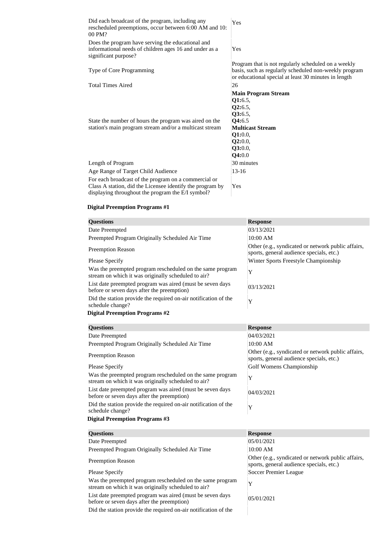| Did each broadcast of the program, including any<br>rescheduled preemptions, occur between 6:00 AM and 10:<br>00 PM?                                                   | Yes                                                                                                                                                                  |
|------------------------------------------------------------------------------------------------------------------------------------------------------------------------|----------------------------------------------------------------------------------------------------------------------------------------------------------------------|
| Does the program have serving the educational and<br>informational needs of children ages 16 and under as a<br>significant purpose?                                    | Yes                                                                                                                                                                  |
| Type of Core Programming                                                                                                                                               | Program that is not regularly scheduled on a weekly<br>basis, such as regularly scheduled non-weekly program<br>or educational special at least 30 minutes in length |
| <b>Total Times Aired</b>                                                                                                                                               | 26                                                                                                                                                                   |
| State the number of hours the program was aired on the<br>station's main program stream and/or a multicast stream                                                      | <b>Main Program Stream</b><br>Q1:6.5,<br>Q2:6.5,<br>Q3:6.5,<br>Q4:6.5<br><b>Multicast Stream</b><br>Q1:0.0,<br>Q2:0.0,<br>Q3:0.0,<br>Q4:0.0                          |
| Length of Program                                                                                                                                                      | 30 minutes                                                                                                                                                           |
| Age Range of Target Child Audience                                                                                                                                     | $13 - 16$                                                                                                                                                            |
| For each broadcast of the program on a commercial or<br>Class A station, did the Licensee identify the program by<br>displaying throughout the program the E/I symbol? | Yes                                                                                                                                                                  |

| <b>Questions</b>                                                                                                 | <b>Response</b>                                                                                |
|------------------------------------------------------------------------------------------------------------------|------------------------------------------------------------------------------------------------|
| Date Preempted                                                                                                   | 03/13/2021                                                                                     |
| Preempted Program Originally Scheduled Air Time                                                                  | 10:00 AM                                                                                       |
| <b>Preemption Reason</b>                                                                                         | Other (e.g., syndicated or network public affairs,<br>sports, general audience specials, etc.) |
| <b>Please Specify</b>                                                                                            | Winter Sports Freestyle Championship                                                           |
| Was the preempted program rescheduled on the same program<br>stream on which it was originally scheduled to air? | Y                                                                                              |
| List date preempted program was aired (must be seven days<br>before or seven days after the preemption)          | 03/13/2021                                                                                     |
| Did the station provide the required on-air notification of the<br>schedule change?                              | Y                                                                                              |
| <b>Digital Preemption Programs #2</b>                                                                            |                                                                                                |
| <b>Questions</b>                                                                                                 | <b>Response</b>                                                                                |
| Date Preempted                                                                                                   | 04/03/2021                                                                                     |
| Preempted Program Originally Scheduled Air Time                                                                  | 10:00 AM                                                                                       |
|                                                                                                                  | Other (e.g., syndicated or network public affairs,                                             |
| <b>Preemption Reason</b>                                                                                         | sports, general audience specials, etc.)                                                       |
| <b>Please Specify</b>                                                                                            | Golf Womens Championship                                                                       |
| Was the preempted program rescheduled on the same program<br>stream on which it was originally scheduled to air? | Y                                                                                              |
| List date preempted program was aired (must be seven days<br>before or seven days after the preemption)          | 04/03/2021                                                                                     |
| Did the station provide the required on-air notification of the<br>schedule change?                              | Y                                                                                              |
| <b>Digital Preemption Programs #3</b>                                                                            |                                                                                                |
| <b>Questions</b>                                                                                                 | <b>Response</b>                                                                                |
| Date Preempted                                                                                                   | 05/01/2021                                                                                     |
| Preempted Program Originally Scheduled Air Time                                                                  | 10:00 AM                                                                                       |
| <b>Preemption Reason</b>                                                                                         | Other (e.g., syndicated or network public affairs,<br>sports, general audience specials, etc.) |
| <b>Please Specify</b>                                                                                            | <b>Soccer Premier League</b>                                                                   |
| Was the preempted program rescheduled on the same program<br>stream on which it was originally scheduled to air? | Y                                                                                              |
| List date preempted program was aired (must be seven days<br>before or seven days after the preemption)          | 05/01/2021                                                                                     |
| Did the station provide the required on-air notification of the                                                  |                                                                                                |
|                                                                                                                  |                                                                                                |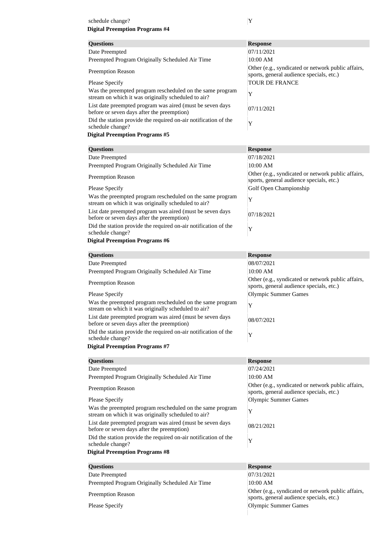### schedule change?  $|Y|$ **Digital Preemption Programs #4**

| <b>Questions</b>                                                                                                 | <b>Response</b>                                                                                |
|------------------------------------------------------------------------------------------------------------------|------------------------------------------------------------------------------------------------|
| Date Preempted                                                                                                   | 07/11/2021                                                                                     |
| Preempted Program Originally Scheduled Air Time                                                                  | 10:00 AM                                                                                       |
| <b>Preemption Reason</b>                                                                                         | Other (e.g., syndicated or network public affairs,<br>sports, general audience specials, etc.) |
| <b>Please Specify</b>                                                                                            | <b>TOUR DE FRANCE</b>                                                                          |
| Was the preempted program rescheduled on the same program<br>stream on which it was originally scheduled to air? | Y                                                                                              |
| List date preempted program was aired (must be seven days<br>before or seven days after the preemption)          | 07/11/2021                                                                                     |
| Did the station provide the required on-air notification of the                                                  | Y                                                                                              |
| schedule change?                                                                                                 |                                                                                                |
| <b>Digital Preemption Programs #5</b>                                                                            |                                                                                                |
| <b>Questions</b>                                                                                                 | <b>Response</b>                                                                                |
| Date Preempted                                                                                                   | 07/18/2021                                                                                     |
| Preempted Program Originally Scheduled Air Time                                                                  | 10:00 AM                                                                                       |
| <b>Preemption Reason</b>                                                                                         | Other (e.g., syndicated or network public affairs,<br>sports, general audience specials, etc.) |
| <b>Please Specify</b>                                                                                            | Golf Open Championship                                                                         |
| Was the preempted program rescheduled on the same program<br>stream on which it was originally scheduled to air? | Y                                                                                              |
| List date preempted program was aired (must be seven days<br>before or seven days after the preemption)          | 07/18/2021                                                                                     |
| Did the station provide the required on-air notification of the<br>schedule change?                              | Y                                                                                              |
| <b>Digital Preemption Programs #6</b>                                                                            |                                                                                                |
| <b>Questions</b>                                                                                                 | <b>Response</b>                                                                                |
| Date Preempted                                                                                                   | 08/07/2021                                                                                     |
| Preempted Program Originally Scheduled Air Time                                                                  | 10:00 AM                                                                                       |
| <b>Preemption Reason</b>                                                                                         | Other (e.g., syndicated or network public affairs,<br>sports, general audience specials, etc.) |
| <b>Please Specify</b>                                                                                            | <b>Olympic Summer Games</b>                                                                    |
| Was the preempted program rescheduled on the same program                                                        |                                                                                                |
| stream on which it was originally scheduled to air?<br>List date preempted program was aired (must be seven days | Y                                                                                              |
| before or seven days after the preemption)<br>Did the station provide the required on-air notification of the    | 08/07/2021                                                                                     |
| schedule change?                                                                                                 | Y                                                                                              |
| <b>Digital Preemption Programs #7</b>                                                                            |                                                                                                |
| <b>Questions</b>                                                                                                 | <b>Response</b>                                                                                |
| Date Preempted                                                                                                   | 07/24/2021                                                                                     |
| Preempted Program Originally Scheduled Air Time                                                                  | 10:00 AM                                                                                       |
| <b>Preemption Reason</b>                                                                                         | Other (e.g., syndicated or network public affairs,<br>sports, general audience specials, etc.) |
| <b>Please Specify</b>                                                                                            | <b>Olympic Summer Games</b>                                                                    |
| Was the preempted program rescheduled on the same program<br>stream on which it was originally scheduled to air? | Y                                                                                              |
| List date preempted program was aired (must be seven days<br>before or seven days after the preemption)          | 08/21/2021                                                                                     |
| Did the station provide the required on-air notification of the<br>schedule change?                              | Y                                                                                              |
| <b>Digital Preemption Programs #8</b>                                                                            |                                                                                                |
| <b>Questions</b>                                                                                                 | <b>Response</b>                                                                                |
| Date Preempted                                                                                                   | 07/31/2021                                                                                     |
| Preempted Program Originally Scheduled Air Time                                                                  | 10:00 AM                                                                                       |
|                                                                                                                  | Other (e.g., syndicated or network public affairs,                                             |
| <b>Preemption Reason</b>                                                                                         | sports, general audience specials, etc.)                                                       |
| <b>Please Specify</b>                                                                                            | <b>Olympic Summer Games</b>                                                                    |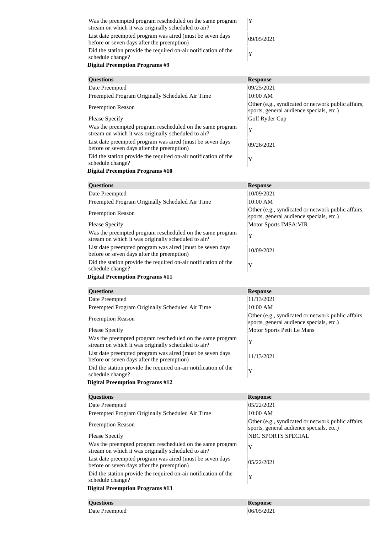| Was the preempted program rescheduled on the same program<br>stream on which it was originally scheduled to air?<br>List date preempted program was aired (must be seven days)<br>before or seven days after the preemption)<br>Did the station provide the required on-air notification of the<br>schedule change? | 09/05/2021 |
|---------------------------------------------------------------------------------------------------------------------------------------------------------------------------------------------------------------------------------------------------------------------------------------------------------------------|------------|
| <b>Digital Preemption Programs #9</b>                                                                                                                                                                                                                                                                               |            |
| $\mathbf{\Omega}$ $\mathbf{\Omega}$                                                                                                                                                                                                                                                                                 | <b>D</b>   |

| <b>Questions</b>                                                                                                 | <b>Response</b>                                                                                |
|------------------------------------------------------------------------------------------------------------------|------------------------------------------------------------------------------------------------|
| Date Preempted                                                                                                   | 09/25/2021                                                                                     |
| Preempted Program Originally Scheduled Air Time                                                                  | 10:00 AM                                                                                       |
| <b>Preemption Reason</b>                                                                                         | Other (e.g., syndicated or network public affairs,<br>sports, general audience specials, etc.) |
| <b>Please Specify</b>                                                                                            | Golf Ryder Cup                                                                                 |
| Was the preempted program rescheduled on the same program<br>stream on which it was originally scheduled to air? | Y                                                                                              |
| List date preempted program was aired (must be seven days)<br>before or seven days after the preemption)         | 09/26/2021                                                                                     |
| Did the station provide the required on-air notification of the<br>schedule change?                              | Y                                                                                              |
| <b>Digital Preemption Programs #10</b>                                                                           |                                                                                                |

| <b>Questions</b>                                                                                                 | <b>Response</b>                                                                                |
|------------------------------------------------------------------------------------------------------------------|------------------------------------------------------------------------------------------------|
| Date Preempted                                                                                                   | 10/09/2021                                                                                     |
| Preempted Program Originally Scheduled Air Time                                                                  | 10:00 AM                                                                                       |
| <b>Preemption Reason</b>                                                                                         | Other (e.g., syndicated or network public affairs,<br>sports, general audience specials, etc.) |
| Please Specify                                                                                                   | Motor Sports IMSA: VIR                                                                         |
| Was the preempted program rescheduled on the same program<br>stream on which it was originally scheduled to air? | Y                                                                                              |
| List date preempted program was aired (must be seven days<br>before or seven days after the preemption)          | 10/09/2021                                                                                     |
| Did the station provide the required on-air notification of the<br>schedule change?                              | Y                                                                                              |

| <b>Questions</b>                                                                                                 | <b>Response</b>                                                                                |
|------------------------------------------------------------------------------------------------------------------|------------------------------------------------------------------------------------------------|
| Date Preempted                                                                                                   | 11/13/2021                                                                                     |
| Preempted Program Originally Scheduled Air Time                                                                  | 10:00 AM                                                                                       |
| <b>Preemption Reason</b>                                                                                         | Other (e.g., syndicated or network public affairs,<br>sports, general audience specials, etc.) |
| <b>Please Specify</b>                                                                                            | Motor Sports Petit Le Mans                                                                     |
| Was the preempted program rescheduled on the same program<br>stream on which it was originally scheduled to air? | Y                                                                                              |
| List date preempted program was aired (must be seven days<br>before or seven days after the preemption)          | 11/13/2021                                                                                     |
| Did the station provide the required on-air notification of the<br>schedule change?                              | Y                                                                                              |
| <b>Digital Preemption Programs #12</b>                                                                           |                                                                                                |
| <b>Questions</b>                                                                                                 | <b>Response</b>                                                                                |
| Date Preempted                                                                                                   | 05/22/2021                                                                                     |
| Preempted Program Originally Scheduled Air Time                                                                  | 10:00 AM                                                                                       |
| <b>Preemption Reason</b>                                                                                         | Other (e.g., syndicated or network public affairs,<br>sports, general audience specials, etc.) |
| <b>Please Specify</b>                                                                                            | <b>NBC SPORTS SPECIAL</b>                                                                      |
| Was the preempted program rescheduled on the same program                                                        |                                                                                                |

Was the preempted program rescheduled on the same program was the preempted program rescheduled on the same program stream on which it was originally scheduled to air? List date preempted program was aired (must be seven days List date preempted program was aired (must be seven days before or seven days after the preemption)  $05/22/2021$ Did the station provide the required on-air notification of the schedule change? <sup>Y</sup>

| <b>Questions</b> | <b>Response</b> |
|------------------|-----------------|
| Date Preempted   | 06/05/2021      |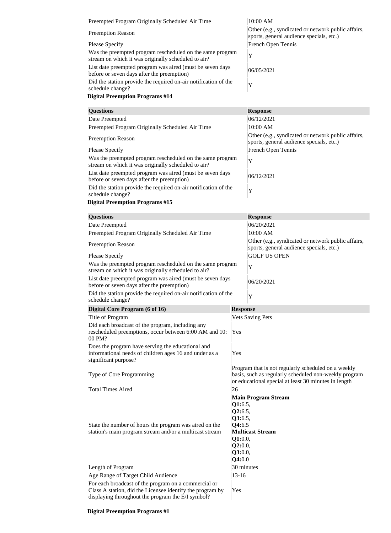| Preempted Program Originally Scheduled Air Time                                                                  | 10:00 AM                                                                                       |
|------------------------------------------------------------------------------------------------------------------|------------------------------------------------------------------------------------------------|
| <b>Preemption Reason</b>                                                                                         | Other (e.g., syndicated or network public affairs,<br>sports, general audience specials, etc.) |
| <b>Please Specify</b>                                                                                            | French Open Tennis                                                                             |
| Was the preempted program rescheduled on the same program<br>stream on which it was originally scheduled to air? | Y                                                                                              |
| List date preempted program was aired (must be seven days<br>before or seven days after the preemption)          | 06/05/2021                                                                                     |
| Did the station provide the required on-air notification of the<br>schedule change?                              | Y                                                                                              |

| <b>Questions</b>                                                                                                 | <b>Response</b>                                                                                |
|------------------------------------------------------------------------------------------------------------------|------------------------------------------------------------------------------------------------|
| Date Preempted                                                                                                   | 06/12/2021                                                                                     |
| Preempted Program Originally Scheduled Air Time                                                                  | 10:00 AM                                                                                       |
| <b>Preemption Reason</b>                                                                                         | Other (e.g., syndicated or network public affairs,<br>sports, general audience specials, etc.) |
| <b>Please Specify</b>                                                                                            | French Open Tennis                                                                             |
| Was the preempted program rescheduled on the same program<br>stream on which it was originally scheduled to air? | $\mathbf v$                                                                                    |
| List date preempted program was aired (must be seven days<br>before or seven days after the preemption)          | 06/12/2021                                                                                     |
| Did the station provide the required on-air notification of the<br>schedule change?                              | Y                                                                                              |

| <b>Questions</b>                                                                                                                                                       |                                                                                    | <b>Response</b>                                                                                                                                                      |
|------------------------------------------------------------------------------------------------------------------------------------------------------------------------|------------------------------------------------------------------------------------|----------------------------------------------------------------------------------------------------------------------------------------------------------------------|
| Date Preempted                                                                                                                                                         |                                                                                    | 06/20/2021                                                                                                                                                           |
| Preempted Program Originally Scheduled Air Time                                                                                                                        |                                                                                    | 10:00 AM                                                                                                                                                             |
| <b>Preemption Reason</b>                                                                                                                                               |                                                                                    | Other (e.g., syndicated or network public affairs,<br>sports, general audience specials, etc.)                                                                       |
| <b>Please Specify</b>                                                                                                                                                  |                                                                                    | <b>GOLF US OPEN</b>                                                                                                                                                  |
| Was the preempted program rescheduled on the same program<br>stream on which it was originally scheduled to air?                                                       |                                                                                    | Y                                                                                                                                                                    |
| List date preempted program was aired (must be seven days<br>before or seven days after the preemption)                                                                |                                                                                    | 06/20/2021                                                                                                                                                           |
| Did the station provide the required on-air notification of the<br>schedule change?                                                                                    |                                                                                    | Y                                                                                                                                                                    |
| Digital Core Program (6 of 16)                                                                                                                                         | <b>Response</b>                                                                    |                                                                                                                                                                      |
| Title of Program                                                                                                                                                       |                                                                                    | <b>Vets Saving Pets</b>                                                                                                                                              |
| Did each broadcast of the program, including any<br>rescheduled preemptions, occur between 6:00 AM and 10:<br>00 PM?                                                   | Yes                                                                                |                                                                                                                                                                      |
| Does the program have serving the educational and<br>informational needs of children ages 16 and under as a<br>significant purpose?                                    | Yes                                                                                |                                                                                                                                                                      |
| Type of Core Programming                                                                                                                                               |                                                                                    | Program that is not regularly scheduled on a weekly<br>basis, such as regularly scheduled non-weekly program<br>or educational special at least 30 minutes in length |
| <b>Total Times Aired</b>                                                                                                                                               | 26                                                                                 |                                                                                                                                                                      |
| State the number of hours the program was aired on the<br>station's main program stream and/or a multicast stream                                                      | Q1:6.5,<br>Q2:6.5,<br>Q3:6.5,<br>Q4:6.5<br>Q1:0.0,<br>Q2:0.0,<br>Q3:0.0,<br>Q4:0.0 | <b>Main Program Stream</b><br><b>Multicast Stream</b>                                                                                                                |
| Length of Program                                                                                                                                                      | 30 minutes                                                                         |                                                                                                                                                                      |
| Age Range of Target Child Audience                                                                                                                                     | $13 - 16$                                                                          |                                                                                                                                                                      |
| For each broadcast of the program on a commercial or<br>Class A station, did the Licensee identify the program by<br>displaying throughout the program the E/I symbol? | Yes                                                                                |                                                                                                                                                                      |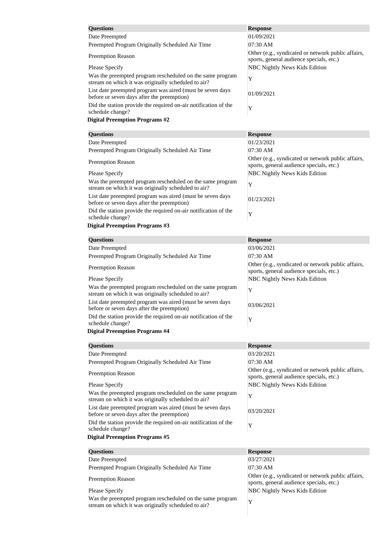| <b>Questions</b>                                                                                                 | <b>Response</b>                                                                                |
|------------------------------------------------------------------------------------------------------------------|------------------------------------------------------------------------------------------------|
| Date Preempted                                                                                                   | 01/09/2021                                                                                     |
| Preempted Program Originally Scheduled Air Time                                                                  | 07:30 AM                                                                                       |
| <b>Preemption Reason</b>                                                                                         | Other (e.g., syndicated or network public affairs,<br>sports, general audience specials, etc.) |
| <b>Please Specify</b>                                                                                            | <b>NBC Nightly News Kids Edition</b>                                                           |
| Was the preempted program rescheduled on the same program<br>stream on which it was originally scheduled to air? | Y                                                                                              |
| List date preempted program was aired (must be seven days<br>before or seven days after the preemption)          | 01/09/2021                                                                                     |
| Did the station provide the required on-air notification of the<br>schedule change?                              | Y                                                                                              |
| <b>Digital Preemption Programs #2</b>                                                                            |                                                                                                |
| <b>Questions</b>                                                                                                 | <b>Response</b>                                                                                |
| Date Preempted                                                                                                   | 01/23/2021                                                                                     |
| Preempted Program Originally Scheduled Air Time                                                                  | 07:30 AM                                                                                       |
|                                                                                                                  | Other (e.g., syndicated or network public affairs,                                             |
| <b>Preemption Reason</b><br>Please Specify                                                                       | sports, general audience specials, etc.)<br><b>NBC Nightly News Kids Edition</b>               |
| Was the preempted program rescheduled on the same program                                                        |                                                                                                |
| stream on which it was originally scheduled to air?                                                              | Y                                                                                              |
| List date preempted program was aired (must be seven days<br>before or seven days after the preemption)          | 01/23/2021                                                                                     |
| Did the station provide the required on-air notification of the<br>schedule change?                              | Y                                                                                              |
| <b>Digital Preemption Programs #3</b>                                                                            |                                                                                                |
| <b>Questions</b>                                                                                                 | <b>Response</b>                                                                                |
| Date Preempted                                                                                                   | 03/06/2021                                                                                     |
| Preempted Program Originally Scheduled Air Time                                                                  | 07:30 AM                                                                                       |
| <b>Preemption Reason</b>                                                                                         | Other (e.g., syndicated or network public affairs,<br>sports, general audience specials, etc.) |
| <b>Please Specify</b>                                                                                            | <b>NBC Nightly News Kids Edition</b>                                                           |
| Was the preempted program rescheduled on the same program<br>stream on which it was originally scheduled to air? | Y                                                                                              |
| List date preempted program was aired (must be seven days<br>before or seven days after the preemption)          | 03/06/2021                                                                                     |
| Did the station provide the required on-air notification of the<br>schedule change?                              | Y                                                                                              |
| <b>Digital Preemption Programs #4</b>                                                                            |                                                                                                |
| <b>Questions</b>                                                                                                 | <b>Response</b>                                                                                |
| Date Preempted                                                                                                   | 03/20/2021                                                                                     |
| Preempted Program Originally Scheduled Air Time                                                                  | 07:30 AM                                                                                       |
| <b>Preemption Reason</b>                                                                                         | Other (e.g., syndicated or network public affairs,<br>sports, general audience specials, etc.) |
| Please Specify                                                                                                   | <b>NBC Nightly News Kids Edition</b>                                                           |
| Was the preempted program rescheduled on the same program<br>stream on which it was originally scheduled to air? | Y                                                                                              |
| List date preempted program was aired (must be seven days<br>before or seven days after the preemption)          | 03/20/2021                                                                                     |
| Did the station provide the required on-air notification of the                                                  | Y                                                                                              |
| schedule change?<br><b>Digital Preemption Programs #5</b>                                                        |                                                                                                |
| <b>Questions</b>                                                                                                 | <b>Response</b>                                                                                |
| Date Preempted                                                                                                   | 03/27/2021                                                                                     |
| Preempted Program Originally Scheduled Air Time                                                                  | 07:30 AM                                                                                       |
| <b>Preemption Reason</b>                                                                                         | Other (e.g., syndicated or network public affairs,<br>sports, general audience specials, etc.) |
| <b>Please Specify</b>                                                                                            | <b>NBC Nightly News Kids Edition</b>                                                           |
| Was the preempted program rescheduled on the same program<br>stream on which it was originally scheduled to air? | Y                                                                                              |
|                                                                                                                  |                                                                                                |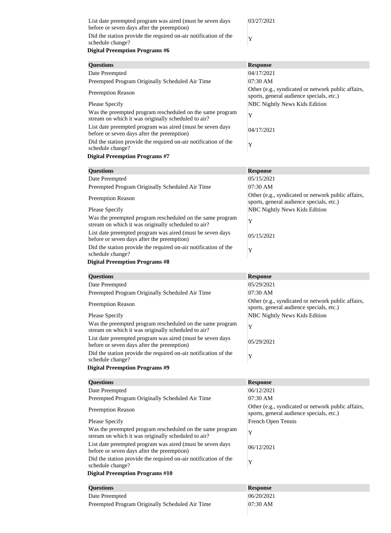| List date preempted program was aired (must be seven days<br>before or seven days after the preemption) | 03/27/2021                                                                                     |
|---------------------------------------------------------------------------------------------------------|------------------------------------------------------------------------------------------------|
| Did the station provide the required on-air notification of the<br>schedule change?                     | Y                                                                                              |
| <b>Digital Preemption Programs #6</b>                                                                   |                                                                                                |
| <b>Questions</b>                                                                                        | <b>Response</b>                                                                                |
| Date Preempted                                                                                          | 04/17/2021                                                                                     |
| Preempted Program Originally Scheduled Air Time                                                         | 07:30 AM                                                                                       |
| <b>Preemption Reason</b>                                                                                | Other (e.g., syndicated or network public affairs,<br>sports, general audience specials, etc.) |
| <b>Please Specify</b>                                                                                   | <b>NBC Nightly News Kids Edition</b>                                                           |
| Was the preempted program rescheduled on the same program                                               | $ -$                                                                                           |

| Preempted Program Originally Scheduled Air Time                                                                  | 07:30 AM                                                                                       |
|------------------------------------------------------------------------------------------------------------------|------------------------------------------------------------------------------------------------|
| <b>Preemption Reason</b>                                                                                         | Other (e.g., syndicated or network public affairs,<br>sports, general audience specials, etc.) |
| <b>Please Specify</b>                                                                                            | <b>NBC Nightly News Kids Edition</b>                                                           |
| Was the preempted program rescheduled on the same program<br>stream on which it was originally scheduled to air? | Y                                                                                              |
| List date preempted program was aired (must be seven days<br>before or seven days after the preemption)          | 04/17/2021                                                                                     |
| Did the station provide the required on-air notification of the<br>schedule change?                              | Y                                                                                              |
| <b>Digital Preemption Programs #7</b>                                                                            |                                                                                                |
| <b>Questions</b>                                                                                                 | <b>Response</b>                                                                                |
| Date Preempted                                                                                                   | 05/15/2021                                                                                     |
| Preempted Program Originally Scheduled Air Time                                                                  | 07:30 AM                                                                                       |
| <b>Preemption Reason</b>                                                                                         | Other (e.g., syndicated or network public affairs,<br>sports, general audience specials, etc.) |
| Please Specify                                                                                                   | <b>NBC Nightly News Kids Edition</b>                                                           |
| Was the preempted program rescheduled on the same program<br>stream on which it was originally scheduled to air? | Y                                                                                              |
| List date preempted program was aired (must be seven days<br>before or seven days after the preemption)          | 05/15/2021                                                                                     |
| Did the station provide the required on-air notification of the<br>schedule change?                              | Y                                                                                              |
| <b>Digital Preemption Programs #8</b>                                                                            |                                                                                                |
| <b>Questions</b>                                                                                                 | <b>Response</b>                                                                                |
| Date Preempted                                                                                                   | 05/29/2021                                                                                     |
| Preempted Program Originally Scheduled Air Time                                                                  | 07:30 AM                                                                                       |
| <b>Preemption Reason</b>                                                                                         | Other (e.g., syndicated or network public affairs,<br>sports, general audience specials, etc.) |
| <b>Please Specify</b>                                                                                            | <b>NBC Nightly News Kids Edition</b>                                                           |
| Was the preempted program rescheduled on the same program<br>stream on which it was originally scheduled to air? | Y                                                                                              |
| List date preempted program was aired (must be seven days<br>before or seven days after the preemption)          | 05/29/2021                                                                                     |
| Did the station provide the required on-air notification of the<br>schedule change?                              | Y                                                                                              |
| <b>Digital Preemption Programs #9</b>                                                                            |                                                                                                |
| <b>Questions</b>                                                                                                 | <b>Response</b>                                                                                |
| Date Preempted                                                                                                   | 06/12/2021                                                                                     |
| Preempted Program Originally Scheduled Air Time                                                                  | 07:30 AM                                                                                       |
| <b>Preemption Reason</b>                                                                                         | Other (e.g., syndicated or network public affairs,<br>sports, general audience specials, etc.) |
| <b>Please Specify</b>                                                                                            | French Open Tennis                                                                             |
| Was the preempted program rescheduled on the same program<br>stream on which it was originally scheduled to air? | Y                                                                                              |
| List date preempted program was aired (must be seven days<br>before or seven days after the preemption)          | 06/12/2021                                                                                     |
| Did the station provide the required on-air notification of the<br>schedule change?                              | Y                                                                                              |
| <b>Digital Preemption Programs #10</b>                                                                           |                                                                                                |
| <b>Questions</b>                                                                                                 | <b>Response</b>                                                                                |
| Date Preempted                                                                                                   | 06/20/2021                                                                                     |
| Preempted Program Originally Scheduled Air Time                                                                  | 07:30 AM                                                                                       |
|                                                                                                                  |                                                                                                |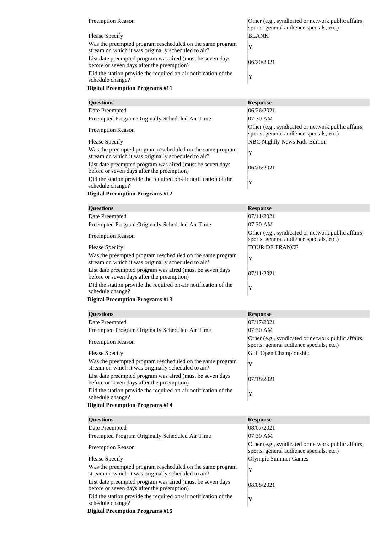| <b>Preemption Reason</b>                                                                                         | Other (e.g., syndicated or network public affairs,<br>sports, general audience specials, etc.) |
|------------------------------------------------------------------------------------------------------------------|------------------------------------------------------------------------------------------------|
| Please Specify                                                                                                   | <b>BLANK</b>                                                                                   |
| Was the preempted program rescheduled on the same program<br>stream on which it was originally scheduled to air? | $\mathbf v$                                                                                    |
| List date preempted program was aired (must be seven days)<br>before or seven days after the preemption)         | 06/20/2021                                                                                     |
| Did the station provide the required on-air notification of the<br>schedule change?                              | v                                                                                              |

| <b>Questions</b>                                                                                                 | <b>Response</b>                                                                                |
|------------------------------------------------------------------------------------------------------------------|------------------------------------------------------------------------------------------------|
| Date Preempted                                                                                                   | 06/26/2021                                                                                     |
| Preempted Program Originally Scheduled Air Time                                                                  | $07:30$ AM                                                                                     |
| <b>Preemption Reason</b>                                                                                         | Other (e.g., syndicated or network public affairs,<br>sports, general audience specials, etc.) |
| <b>Please Specify</b>                                                                                            | <b>NBC Nightly News Kids Edition</b>                                                           |
| Was the preempted program rescheduled on the same program<br>stream on which it was originally scheduled to air? | Y                                                                                              |
| List date preempted program was aired (must be seven days<br>before or seven days after the preemption)          | 06/26/2021                                                                                     |
| Did the station provide the required on-air notification of the<br>schedule change?                              | Y                                                                                              |

# **Digital Preemption Programs #12**

| <b>Questions</b>                                                                                                 | <b>Response</b>                                                                                |
|------------------------------------------------------------------------------------------------------------------|------------------------------------------------------------------------------------------------|
| Date Preempted                                                                                                   | 07/11/2021                                                                                     |
| Preempted Program Originally Scheduled Air Time                                                                  | 07:30 AM                                                                                       |
| <b>Preemption Reason</b>                                                                                         | Other (e.g., syndicated or network public affairs,<br>sports, general audience specials, etc.) |
| <b>Please Specify</b>                                                                                            | <b>TOUR DE FRANCE</b>                                                                          |
| Was the preempted program rescheduled on the same program<br>stream on which it was originally scheduled to air? | Y                                                                                              |
| List date preempted program was aired (must be seven days)<br>before or seven days after the preemption)         | 07/11/2021                                                                                     |
| Did the station provide the required on-air notification of the<br>schedule change?                              | Y                                                                                              |
| <b>Digital Preemption Programs #13</b>                                                                           |                                                                                                |
|                                                                                                                  |                                                                                                |
| <b>Questions</b>                                                                                                 | <b>Response</b>                                                                                |
| Date Preempted                                                                                                   | 07/17/2021                                                                                     |

| Date Preempted                                                                                                   | 07/17/2021                                                                                     |
|------------------------------------------------------------------------------------------------------------------|------------------------------------------------------------------------------------------------|
| Preempted Program Originally Scheduled Air Time                                                                  | 07:30 AM                                                                                       |
| <b>Preemption Reason</b>                                                                                         | Other (e.g., syndicated or network public affairs,<br>sports, general audience specials, etc.) |
| <b>Please Specify</b>                                                                                            | Golf Open Championship                                                                         |
| Was the preempted program rescheduled on the same program<br>stream on which it was originally scheduled to air? | Y                                                                                              |
| List date preempted program was aired (must be seven days<br>before or seven days after the preemption)          | 07/18/2021                                                                                     |
| Did the station provide the required on-air notification of the<br>schedule change?                              | Y                                                                                              |
|                                                                                                                  |                                                                                                |
| <b>Digital Preemption Programs #14</b>                                                                           |                                                                                                |
|                                                                                                                  |                                                                                                |
| <b>Questions</b>                                                                                                 | <b>Response</b>                                                                                |
| Date Preempted                                                                                                   | 08/07/2021                                                                                     |
| Preempted Program Originally Scheduled Air Time                                                                  | 07:30 AM                                                                                       |
| <b>Preemption Reason</b>                                                                                         | Other (e.g., syndicated or network public affairs,<br>sports, general audience specials, etc.) |
| <b>Please Specify</b>                                                                                            | <b>Olympic Summer Games</b>                                                                    |
| Was the preempted program rescheduled on the same program<br>stream on which it was originally scheduled to air? | Y                                                                                              |
| List date preempted program was aired (must be seven days<br>before or seven days after the preemption)          | 08/08/2021                                                                                     |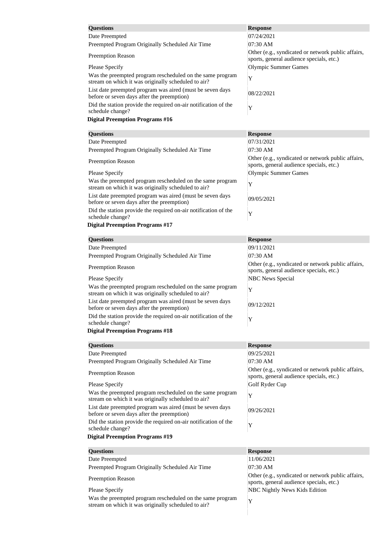| <b>Questions</b>                                                                                                 | <b>Response</b>                                                                                |
|------------------------------------------------------------------------------------------------------------------|------------------------------------------------------------------------------------------------|
| Date Preempted                                                                                                   | 07/24/2021                                                                                     |
| Preempted Program Originally Scheduled Air Time                                                                  | $07:30$ AM                                                                                     |
| <b>Preemption Reason</b>                                                                                         | Other (e.g., syndicated or network public affairs,<br>sports, general audience specials, etc.) |
| <b>Please Specify</b>                                                                                            | Olympic Summer Games                                                                           |
| Was the preempted program rescheduled on the same program<br>stream on which it was originally scheduled to air? | Y                                                                                              |
| List date preempted program was aired (must be seven days<br>before or seven days after the preemption)          | 08/22/2021                                                                                     |
| Did the station provide the required on-air notification of the<br>schedule change?                              | Y                                                                                              |
| <b>Digital Preemption Programs #16</b>                                                                           |                                                                                                |
|                                                                                                                  |                                                                                                |

| <b>Questions</b>                                                                                                 | <b>Response</b>                                                                                |
|------------------------------------------------------------------------------------------------------------------|------------------------------------------------------------------------------------------------|
| Date Preempted                                                                                                   | 07/31/2021                                                                                     |
| Preempted Program Originally Scheduled Air Time                                                                  | 07:30 AM                                                                                       |
| <b>Preemption Reason</b>                                                                                         | Other (e.g., syndicated or network public affairs,<br>sports, general audience specials, etc.) |
| <b>Please Specify</b>                                                                                            | <b>Olympic Summer Games</b>                                                                    |
| Was the preempted program rescheduled on the same program<br>stream on which it was originally scheduled to air? | Y                                                                                              |
| List date preempted program was aired (must be seven days<br>before or seven days after the preemption)          | 09/05/2021                                                                                     |
| Did the station provide the required on-air notification of the<br>schedule change?                              | Y                                                                                              |
| <b>Digital Preemption Programs #17</b>                                                                           |                                                                                                |
| <b>Questions</b>                                                                                                 | <b>Response</b>                                                                                |
| Date Preempted                                                                                                   | 09/11/2021                                                                                     |
| Preempted Program Originally Scheduled Air Time                                                                  | 07:30 AM                                                                                       |
| <b>Preemption Reason</b>                                                                                         | Other (e.g., syndicated or network public affairs,<br>sports, general audience specials, etc.) |
| <b>Please Specify</b>                                                                                            | <b>NBC News Special</b>                                                                        |
| Was the preempted program rescheduled on the same program<br>stream on which it was originally scheduled to air? | Y                                                                                              |
| List date preempted program was aired (must be seven days<br>before or seven days after the preemption)          | 09/12/2021                                                                                     |
| Did the station provide the required on-air notification of the<br>schedule change?                              | Y                                                                                              |
| <b>Digital Preemption Programs #18</b>                                                                           |                                                                                                |
| <b>Questions</b>                                                                                                 | <b>Response</b>                                                                                |
| Date Preempted                                                                                                   | 09/25/2021                                                                                     |
| Preempted Program Originally Scheduled Air Time                                                                  | 07:30 AM                                                                                       |
| <b>Preemption Reason</b>                                                                                         | Other (e.g., syndicated or network public affairs,<br>sports, general audience specials, etc.) |
| <b>Please Specify</b>                                                                                            | Golf Ryder Cup                                                                                 |
| Was the preempted program rescheduled on the same program<br>stream on which it was originally scheduled to air? | Y                                                                                              |
| List date preempted program was aired (must be seven days<br>before or seven days after the preemption)          | 09/26/2021                                                                                     |
| Did the station provide the required on-air notification of the<br>schedule change?                              | Y                                                                                              |
| <b>Digital Preemption Programs #19</b>                                                                           |                                                                                                |
| <b>Questions</b>                                                                                                 | <b>Response</b>                                                                                |
| Date Preempted                                                                                                   | 11/06/2021                                                                                     |
| Preempted Program Originally Scheduled Air Time                                                                  | 07:30 AM                                                                                       |
| <b>Preemption Reason</b>                                                                                         | Other (e.g., syndicated or network public affairs,<br>cnorte general audience eneciale etc.)   |

Please Specify NBC Nightly News Kids Edition

Was the preempted program rescheduled on the same program was the preempted program rescheduled on the same program<br>stream on which it was originally scheduled to air?

sports, general audience specials, etc.)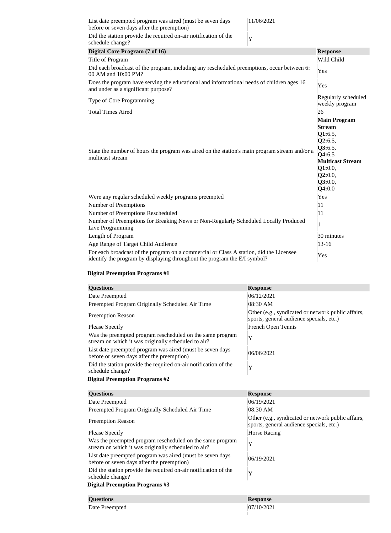| List date preempted program was aired (must be seven days<br>before or seven days after the preemption)                                                             | 11/06/2021 |                                                                                                                                                       |
|---------------------------------------------------------------------------------------------------------------------------------------------------------------------|------------|-------------------------------------------------------------------------------------------------------------------------------------------------------|
| Did the station provide the required on-air notification of the<br>schedule change?                                                                                 | Y          |                                                                                                                                                       |
| Digital Core Program (7 of 16)                                                                                                                                      |            | <b>Response</b>                                                                                                                                       |
| Title of Program                                                                                                                                                    |            | Wild Child                                                                                                                                            |
| Did each broadcast of the program, including any rescheduled preemptions, occur between 6:<br>00 AM and 10:00 PM?                                                   |            | Yes                                                                                                                                                   |
| Does the program have serving the educational and informational needs of children ages 16<br>and under as a significant purpose?                                    |            | Yes                                                                                                                                                   |
| Type of Core Programming                                                                                                                                            |            | Regularly scheduled<br>weekly program                                                                                                                 |
| <b>Total Times Aired</b>                                                                                                                                            |            | 26                                                                                                                                                    |
| State the number of hours the program was aired on the station's main program stream and/or a<br>multicast stream                                                   |            | <b>Main Program</b><br><b>Stream</b><br>Q1:6.5,<br>Q2:6.5,<br>Q3:6.5,<br>Q4:6.5<br><b>Multicast Stream</b><br>Q1:0.0,<br>Q2:0.0,<br>Q3:0.0,<br>Q4:0.0 |
| Were any regular scheduled weekly programs preempted                                                                                                                |            | Yes                                                                                                                                                   |
| Number of Preemptions                                                                                                                                               |            | 11                                                                                                                                                    |
| Number of Preemptions Rescheduled                                                                                                                                   |            | 11                                                                                                                                                    |
| Number of Preemptions for Breaking News or Non-Regularly Scheduled Locally Produced<br>Live Programming                                                             |            | $\mathbf{1}$                                                                                                                                          |
| Length of Program                                                                                                                                                   |            | 30 minutes                                                                                                                                            |
| Age Range of Target Child Audience                                                                                                                                  |            | $13 - 16$                                                                                                                                             |
| For each broadcast of the program on a commercial or Class A station, did the Licensee<br>identify the program by displaying throughout the program the E/I symbol? |            | Yes                                                                                                                                                   |

| <b>Questions</b>                                                                                                 | <b>Response</b>                                                                                |
|------------------------------------------------------------------------------------------------------------------|------------------------------------------------------------------------------------------------|
| Date Preempted                                                                                                   | 06/12/2021                                                                                     |
| Preempted Program Originally Scheduled Air Time                                                                  | 08:30 AM                                                                                       |
| <b>Preemption Reason</b>                                                                                         | Other (e.g., syndicated or network public affairs,<br>sports, general audience specials, etc.) |
| Please Specify                                                                                                   | French Open Tennis                                                                             |
| Was the preempted program rescheduled on the same program<br>stream on which it was originally scheduled to air? | Y                                                                                              |
| List date preempted program was aired (must be seven days<br>before or seven days after the preemption)          | 06/06/2021                                                                                     |
| Did the station provide the required on-air notification of the<br>schedule change?                              | Y                                                                                              |
| <b>Digital Preemption Programs #2</b>                                                                            |                                                                                                |
| <b>Questions</b>                                                                                                 | <b>Response</b>                                                                                |
|                                                                                                                  |                                                                                                |
| Date Preempted                                                                                                   | 06/19/2021                                                                                     |
| Preempted Program Originally Scheduled Air Time                                                                  | 08:30 AM                                                                                       |
| <b>Preemption Reason</b>                                                                                         | Other (e.g., syndicated or network public affairs,<br>sports, general audience specials, etc.) |
| <b>Please Specify</b>                                                                                            | <b>Horse Racing</b>                                                                            |
| Was the preempted program rescheduled on the same program<br>stream on which it was originally scheduled to air? | Y                                                                                              |
| List date preempted program was aired (must be seven days<br>before or seven days after the preemption)          | 06/19/2021                                                                                     |
| Did the station provide the required on-air notification of the<br>schedule change?                              | Y                                                                                              |
| <b>Digital Preemption Programs #3</b>                                                                            |                                                                                                |
| <b>Questions</b>                                                                                                 | <b>Response</b>                                                                                |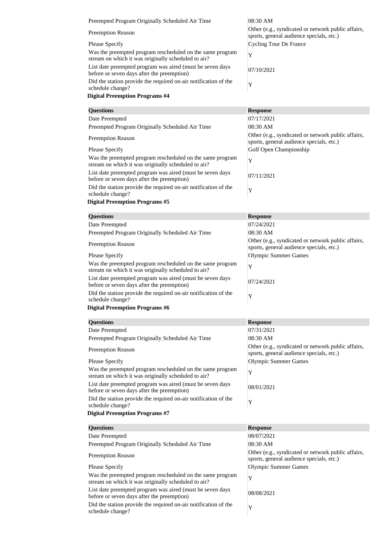| Preempted Program Originally Scheduled Air Time                                                                                                  | 08:30 AM                                                                                       |
|--------------------------------------------------------------------------------------------------------------------------------------------------|------------------------------------------------------------------------------------------------|
| <b>Preemption Reason</b>                                                                                                                         | Other (e.g., syndicated or network public affairs,<br>sports, general audience specials, etc.) |
| <b>Please Specify</b>                                                                                                                            | <b>Cycling Tour De France</b>                                                                  |
| Was the preempted program rescheduled on the same program<br>stream on which it was originally scheduled to air?                                 | Y                                                                                              |
| List date preempted program was aired (must be seven days<br>before or seven days after the preemption)                                          | 07/10/2021                                                                                     |
| Did the station provide the required on-air notification of the<br>schedule change?                                                              | Y                                                                                              |
| <b>Digital Preemption Programs #4</b>                                                                                                            |                                                                                                |
| <b>Questions</b>                                                                                                                                 | <b>Response</b>                                                                                |
| Date Preempted                                                                                                                                   | 07/17/2021                                                                                     |
| Preempted Program Originally Scheduled Air Time                                                                                                  | 08:30 AM                                                                                       |
| <b>Preemption Reason</b>                                                                                                                         | Other (e.g., syndicated or network public affairs,<br>sports, general audience specials, etc.) |
| Please Specify                                                                                                                                   | Golf Open Championship                                                                         |
| Was the preempted program rescheduled on the same program<br>stream on which it was originally scheduled to air?                                 | Y                                                                                              |
| List date preempted program was aired (must be seven days<br>before or seven days after the preemption)                                          | 07/11/2021                                                                                     |
| Did the station provide the required on-air notification of the<br>schedule change?                                                              | Y                                                                                              |
| <b>Digital Preemption Programs #5</b>                                                                                                            |                                                                                                |
| <b>Questions</b>                                                                                                                                 | <b>Response</b>                                                                                |
| Date Preempted                                                                                                                                   | 07/24/2021                                                                                     |
| Preempted Program Originally Scheduled Air Time                                                                                                  | 08:30 AM                                                                                       |
| <b>Preemption Reason</b>                                                                                                                         | Other (e.g., syndicated or network public affairs,<br>sports, general audience specials, etc.) |
| <b>Please Specify</b>                                                                                                                            | <b>Olympic Summer Games</b>                                                                    |
| Was the preempted program rescheduled on the same program<br>stream on which it was originally scheduled to air?                                 | Y                                                                                              |
| List date preempted program was aired (must be seven days<br>before or seven days after the preemption)                                          | 07/24/2021                                                                                     |
| Did the station provide the required on-air notification of the<br>schedule change?                                                              | Y                                                                                              |
| <b>Digital Preemption Programs #6</b>                                                                                                            |                                                                                                |
| <b>Questions</b>                                                                                                                                 | <b>Response</b>                                                                                |
| Date Preempted                                                                                                                                   | 07/31/2021                                                                                     |
| Preempted Program Originally Scheduled Air Time                                                                                                  | 08:30 AM                                                                                       |
| <b>Preemption Reason</b>                                                                                                                         | Other (e.g., syndicated or network public affairs,<br>sports, general audience specials, etc.) |
| <b>Please Specify</b>                                                                                                                            | <b>Olympic Summer Games</b>                                                                    |
|                                                                                                                                                  | Y                                                                                              |
| Was the preempted program rescheduled on the same program<br>stream on which it was originally scheduled to air?                                 |                                                                                                |
| List date preempted program was aired (must be seven days<br>before or seven days after the preemption)                                          | 08/01/2021                                                                                     |
|                                                                                                                                                  | Y                                                                                              |
|                                                                                                                                                  |                                                                                                |
| Did the station provide the required on-air notification of the<br>schedule change?<br><b>Digital Preemption Programs #7</b><br><b>Questions</b> |                                                                                                |
| Date Preempted                                                                                                                                   | <b>Response</b><br>08/07/2021                                                                  |
| Preempted Program Originally Scheduled Air Time                                                                                                  | 08:30 AM                                                                                       |
| <b>Preemption Reason</b>                                                                                                                         | Other (e.g., syndicated or network public affairs,<br>sports, general audience specials, etc.) |
| Please Specify<br>Was the preempted program rescheduled on the same program                                                                      | <b>Olympic Summer Games</b><br>Y                                                               |

List date preempted program was aired (must be seven days 08/08/2021)<br>before or seven days after the preemption)

Did the station provide the required on-air notification of the schedule change? <sup>Y</sup>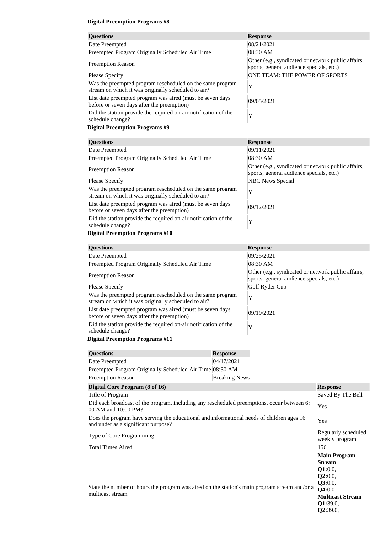| <b>Questions</b>                                                                                                 | <b>Response</b>                                                                                |
|------------------------------------------------------------------------------------------------------------------|------------------------------------------------------------------------------------------------|
| Date Preempted                                                                                                   | 08/21/2021                                                                                     |
| Preempted Program Originally Scheduled Air Time                                                                  | 08:30 AM                                                                                       |
| <b>Preemption Reason</b>                                                                                         | Other (e.g., syndicated or network public affairs,<br>sports, general audience specials, etc.) |
| <b>Please Specify</b>                                                                                            | ONE TEAM: THE POWER OF SPORTS                                                                  |
| Was the preempted program rescheduled on the same program<br>stream on which it was originally scheduled to air? | Y                                                                                              |
| List date preempted program was aired (must be seven days<br>before or seven days after the preemption)          | 09/05/2021                                                                                     |
| Did the station provide the required on-air notification of the<br>schedule change?                              | Y                                                                                              |
| <b>Digital Preemption Programs #9</b>                                                                            |                                                                                                |
|                                                                                                                  |                                                                                                |
| <b>Questions</b>                                                                                                 | <b>Response</b>                                                                                |
| Date Preempted                                                                                                   | 09/11/2021                                                                                     |

| Date Preempted                                                                                                   | 09/11/2021                                                                                     |
|------------------------------------------------------------------------------------------------------------------|------------------------------------------------------------------------------------------------|
| Preempted Program Originally Scheduled Air Time                                                                  | 08:30 AM                                                                                       |
| <b>Preemption Reason</b>                                                                                         | Other (e.g., syndicated or network public affairs,<br>sports, general audience specials, etc.) |
| Please Specify                                                                                                   | <b>NBC News Special</b>                                                                        |
| Was the preempted program rescheduled on the same program<br>stream on which it was originally scheduled to air? | Y                                                                                              |
| List date preempted program was aired (must be seven days)<br>before or seven days after the preemption)         | 09/12/2021                                                                                     |
| Did the station provide the required on-air notification of the<br>schedule change?                              | Y                                                                                              |
| <b>Digital Preemption Programs #10</b>                                                                           |                                                                                                |
|                                                                                                                  |                                                                                                |

| <b>Questions</b>                                                                                                 | <b>Response</b>                                                                                |
|------------------------------------------------------------------------------------------------------------------|------------------------------------------------------------------------------------------------|
| Date Preempted                                                                                                   | 09/25/2021                                                                                     |
| Preempted Program Originally Scheduled Air Time                                                                  | 08:30 AM                                                                                       |
| <b>Preemption Reason</b>                                                                                         | Other (e.g., syndicated or network public affairs,<br>sports, general audience specials, etc.) |
| <b>Please Specify</b>                                                                                            | Golf Ryder Cup                                                                                 |
| Was the preempted program rescheduled on the same program<br>stream on which it was originally scheduled to air? | Y                                                                                              |
| List date preempted program was aired (must be seven days)<br>before or seven days after the preemption)         | 09/19/2021                                                                                     |
| Did the station provide the required on-air notification of the<br>schedule change?                              | Y                                                                                              |
| <b>Digital Preemption Programs #11</b>                                                                           |                                                                                                |

| <b>Questions</b>                                                                                                                 | <b>Response</b>      |                                                                                                                                    |
|----------------------------------------------------------------------------------------------------------------------------------|----------------------|------------------------------------------------------------------------------------------------------------------------------------|
| Date Preempted                                                                                                                   | 04/17/2021           |                                                                                                                                    |
| Preempted Program Originally Scheduled Air Time 08:30 AM                                                                         |                      |                                                                                                                                    |
| <b>Preemption Reason</b>                                                                                                         | <b>Breaking News</b> |                                                                                                                                    |
| Digital Core Program (8 of 16)                                                                                                   |                      | <b>Response</b>                                                                                                                    |
| Title of Program                                                                                                                 |                      | Saved By The Bell                                                                                                                  |
| Did each broadcast of the program, including any rescheduled preemptions, occur between 6:<br>00 AM and 10:00 PM?                |                      | Yes                                                                                                                                |
| Does the program have serving the educational and informational needs of children ages 16<br>and under as a significant purpose? |                      | Yes                                                                                                                                |
| Type of Core Programming                                                                                                         |                      | Regularly scheduled<br>weekly program                                                                                              |
| <b>Total Times Aired</b>                                                                                                         |                      | 156                                                                                                                                |
| State the number of hours the program was aired on the station's main program stream and/or a<br>multicast stream                |                      | <b>Main Program</b><br><b>Stream</b><br>Q1:0.0,<br>Q2:0.0,<br>Q3:0.0,<br>Q4:0.0<br><b>Multicast Stream</b><br>Q1:39.0,<br>Q2:39.0, |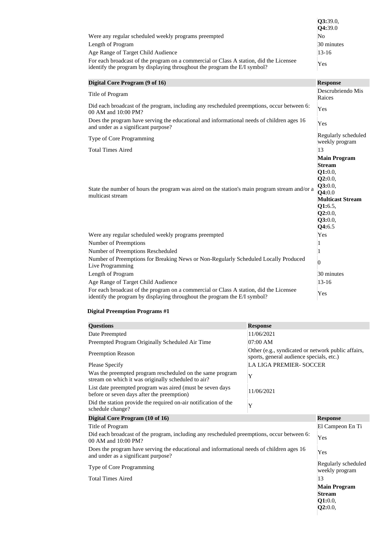|                                                                                                                                                                     | Q3:39.0,<br>Q4:39.0                                                                                                                                   |
|---------------------------------------------------------------------------------------------------------------------------------------------------------------------|-------------------------------------------------------------------------------------------------------------------------------------------------------|
| Were any regular scheduled weekly programs preempted                                                                                                                | No                                                                                                                                                    |
| Length of Program                                                                                                                                                   | 30 minutes                                                                                                                                            |
| Age Range of Target Child Audience                                                                                                                                  | $13 - 16$                                                                                                                                             |
| For each broadcast of the program on a commercial or Class A station, did the Licensee<br>identify the program by displaying throughout the program the E/I symbol? | Yes                                                                                                                                                   |
| Digital Core Program (9 of 16)                                                                                                                                      | <b>Response</b>                                                                                                                                       |
| Title of Program                                                                                                                                                    | Descrubriendo Mis<br>Raices                                                                                                                           |
| Did each broadcast of the program, including any rescheduled preemptions, occur between 6:<br>00 AM and 10:00 PM?                                                   | Yes                                                                                                                                                   |
| Does the program have serving the educational and informational needs of children ages 16<br>and under as a significant purpose?                                    | Yes                                                                                                                                                   |
| Type of Core Programming                                                                                                                                            | Regularly scheduled<br>weekly program                                                                                                                 |
| <b>Total Times Aired</b>                                                                                                                                            | 13                                                                                                                                                    |
| State the number of hours the program was aired on the station's main program stream and/or a<br>multicast stream                                                   | <b>Main Program</b><br><b>Stream</b><br>Q1:0.0,<br>Q2:0.0,<br>Q3:0.0,<br>Q4:0.0<br><b>Multicast Stream</b><br>Q1:6.5,<br>Q2:0.0,<br>Q3:0.0,<br>Q4:6.5 |
| Were any regular scheduled weekly programs preempted                                                                                                                | Yes                                                                                                                                                   |
| <b>Number of Preemptions</b>                                                                                                                                        |                                                                                                                                                       |
| Number of Preemptions Rescheduled                                                                                                                                   |                                                                                                                                                       |
| Number of Preemptions for Breaking News or Non-Regularly Scheduled Locally Produced<br>Live Programming                                                             | 0                                                                                                                                                     |
| Length of Program                                                                                                                                                   | 30 minutes                                                                                                                                            |
| Age Range of Target Child Audience                                                                                                                                  | $13 - 16$                                                                                                                                             |
| For each broadcast of the program on a commercial or Class A station, did the Licensee<br>identify the program by displaying throughout the program the E/I symbol? | Yes                                                                                                                                                   |

| <b>Questions</b>                                                                                                                 | <b>Response</b>                                                                                |                                       |
|----------------------------------------------------------------------------------------------------------------------------------|------------------------------------------------------------------------------------------------|---------------------------------------|
| Date Preempted                                                                                                                   | 11/06/2021                                                                                     |                                       |
| Preempted Program Originally Scheduled Air Time                                                                                  | 07:00 AM                                                                                       |                                       |
| <b>Preemption Reason</b>                                                                                                         | Other (e.g., syndicated or network public affairs,<br>sports, general audience specials, etc.) |                                       |
| <b>Please Specify</b>                                                                                                            | <b>LA LIGA PREMIER- SOCCER</b>                                                                 |                                       |
| Was the preempted program rescheduled on the same program<br>stream on which it was originally scheduled to air?                 | Y                                                                                              |                                       |
| List date preempted program was aired (must be seven days<br>before or seven days after the preemption)                          | 11/06/2021                                                                                     |                                       |
| Did the station provide the required on-air notification of the<br>schedule change?                                              | Y                                                                                              |                                       |
| Digital Core Program (10 of 16)                                                                                                  |                                                                                                | <b>Response</b>                       |
| Title of Program                                                                                                                 |                                                                                                | El Campeon En Ti                      |
| Did each broadcast of the program, including any rescheduled preemptions, occur between 6:<br>00 AM and 10:00 PM?                |                                                                                                | Yes                                   |
| Does the program have serving the educational and informational needs of children ages 16<br>and under as a significant purpose? |                                                                                                | Yes                                   |
| Type of Core Programming                                                                                                         |                                                                                                | Regularly scheduled<br>weekly program |
| <b>Total Times Aired</b>                                                                                                         |                                                                                                | 13                                    |
|                                                                                                                                  |                                                                                                | <b>Main Program</b>                   |
|                                                                                                                                  |                                                                                                | <b>Stream</b>                         |
|                                                                                                                                  |                                                                                                | Q1:0.0,                               |
|                                                                                                                                  |                                                                                                | Q2:0.0,                               |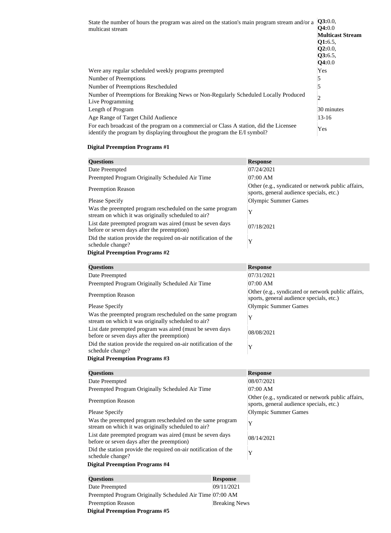| State the number of hours the program was aired on the station's main program stream and/or a<br>multicast stream                                                   | Q3:0.0,<br><b>Q4:0.0</b><br><b>Multicast Stream</b><br><b>Q1:</b> 6.5,<br>Q2:0.0,<br>Q3:6.5,<br><b>Q4:0.0</b> |
|---------------------------------------------------------------------------------------------------------------------------------------------------------------------|---------------------------------------------------------------------------------------------------------------|
| Were any regular scheduled weekly programs preempted                                                                                                                | <b>Yes</b>                                                                                                    |
| Number of Preemptions                                                                                                                                               | 5                                                                                                             |
| Number of Preemptions Rescheduled                                                                                                                                   | 5                                                                                                             |
| Number of Preemptions for Breaking News or Non-Regularly Scheduled Locally Produced<br>Live Programming                                                             | 2                                                                                                             |
| Length of Program                                                                                                                                                   | 30 minutes                                                                                                    |
| Age Range of Target Child Audience                                                                                                                                  | $13 - 16$                                                                                                     |
| For each broadcast of the program on a commercial or Class A station, did the Licensee<br>identify the program by displaying throughout the program the E/I symbol? | Yes                                                                                                           |

| <b>Questions</b>                                                                                                 | <b>Response</b>                                                                                |
|------------------------------------------------------------------------------------------------------------------|------------------------------------------------------------------------------------------------|
| Date Preempted                                                                                                   | 07/24/2021                                                                                     |
| Preempted Program Originally Scheduled Air Time                                                                  | 07:00 AM                                                                                       |
| <b>Preemption Reason</b>                                                                                         | Other (e.g., syndicated or network public affairs,<br>sports, general audience specials, etc.) |
| <b>Please Specify</b>                                                                                            | <b>Olympic Summer Games</b>                                                                    |
| Was the preempted program rescheduled on the same program<br>stream on which it was originally scheduled to air? | Y                                                                                              |
| List date preempted program was aired (must be seven days<br>before or seven days after the preemption)          | 07/18/2021                                                                                     |
| Did the station provide the required on-air notification of the<br>schedule change?                              | Y                                                                                              |
| <b>Digital Preemption Programs #2</b>                                                                            |                                                                                                |
| <b>Questions</b>                                                                                                 | <b>Response</b>                                                                                |
| Date Preempted                                                                                                   | 07/31/2021                                                                                     |
| Preempted Program Originally Scheduled Air Time                                                                  | 07:00 AM                                                                                       |
| <b>Preemption Reason</b>                                                                                         | Other (e.g., syndicated or network public affairs,<br>sports, general audience specials, etc.) |
| <b>Please Specify</b>                                                                                            | <b>Olympic Summer Games</b>                                                                    |
| Was the preempted program rescheduled on the same program<br>stream on which it was originally scheduled to air? | Y                                                                                              |
| List date preempted program was aired (must be seven days<br>before or seven days after the preemption)          | 08/08/2021                                                                                     |
| Did the station provide the required on-air notification of the<br>schedule change?                              | Y                                                                                              |
| <b>Digital Preemption Programs #3</b>                                                                            |                                                                                                |
| <b>Questions</b>                                                                                                 | <b>Response</b>                                                                                |
| Date Preempted                                                                                                   | 08/07/2021                                                                                     |
| Preempted Program Originally Scheduled Air Time                                                                  | 07:00 AM                                                                                       |
| <b>Preemption Reason</b>                                                                                         | Other (e.g., syndicated or network public affairs,<br>sports, general audience specials, etc.) |
| <b>Please Specify</b>                                                                                            | <b>Olympic Summer Games</b>                                                                    |
| Was the preempted program rescheduled on the same program<br>stream on which it was originally scheduled to air? | Y                                                                                              |
| List date preempted program was aired (must be seven days<br>before or seven days after the preemption)          | 08/14/2021                                                                                     |
| Did the station provide the required on-air notification of the<br>schedule change?                              | Y                                                                                              |
| <b>Digital Preemption Programs #4</b>                                                                            |                                                                                                |

| <b>Questions</b>                                         | <b>Response</b>      |
|----------------------------------------------------------|----------------------|
| Date Preempted                                           | 09/11/2021           |
| Preempted Program Originally Scheduled Air Time 07:00 AM |                      |
| <b>Preemption Reason</b>                                 | <b>Breaking News</b> |
| <b>Digital Preemption Programs #5</b>                    |                      |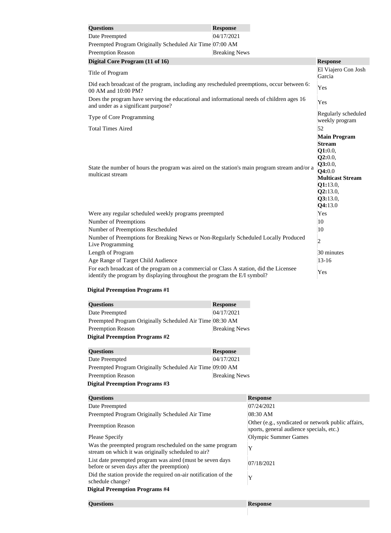| <b>Questions</b>                                                                                                                                                    | <b>Response</b>      |                                                                                                                                                           |
|---------------------------------------------------------------------------------------------------------------------------------------------------------------------|----------------------|-----------------------------------------------------------------------------------------------------------------------------------------------------------|
| Date Preempted                                                                                                                                                      | 04/17/2021           |                                                                                                                                                           |
| Preempted Program Originally Scheduled Air Time 07:00 AM                                                                                                            |                      |                                                                                                                                                           |
| <b>Preemption Reason</b>                                                                                                                                            | <b>Breaking News</b> |                                                                                                                                                           |
| Digital Core Program (11 of 16)                                                                                                                                     |                      | <b>Response</b>                                                                                                                                           |
| Title of Program                                                                                                                                                    |                      | El Viajero Con Josh<br>Garcia                                                                                                                             |
| Did each broadcast of the program, including any rescheduled preemptions, occur between 6:<br>00 AM and 10:00 PM?                                                   |                      | Yes                                                                                                                                                       |
| Does the program have serving the educational and informational needs of children ages 16<br>and under as a significant purpose?                                    |                      | Yes                                                                                                                                                       |
| Type of Core Programming                                                                                                                                            |                      | Regularly scheduled<br>weekly program                                                                                                                     |
| <b>Total Times Aired</b>                                                                                                                                            |                      | 52                                                                                                                                                        |
| State the number of hours the program was aired on the station's main program stream and/or a<br>multicast stream                                                   |                      | <b>Main Program</b><br><b>Stream</b><br>Q1:0.0,<br>Q2:0.0,<br>Q3:0.0,<br>Q4:0.0<br><b>Multicast Stream</b><br>Q1:13.0,<br>Q2:13.0,<br>Q3:13.0,<br>Q4:13.0 |
| Were any regular scheduled weekly programs preempted                                                                                                                |                      | Yes                                                                                                                                                       |
| Number of Preemptions                                                                                                                                               |                      | 10                                                                                                                                                        |
| Number of Preemptions Rescheduled                                                                                                                                   |                      | 10                                                                                                                                                        |
| Number of Preemptions for Breaking News or Non-Regularly Scheduled Locally Produced<br>Live Programming                                                             |                      | $\overline{2}$                                                                                                                                            |
| Length of Program                                                                                                                                                   |                      | 30 minutes                                                                                                                                                |
| Age Range of Target Child Audience                                                                                                                                  |                      | $13 - 16$                                                                                                                                                 |
| For each broadcast of the program on a commercial or Class A station, did the Licensee<br>identify the program by displaying throughout the program the E/I symbol? |                      | Yes                                                                                                                                                       |

| <b>Questions</b>                                         | <b>Response</b>      |
|----------------------------------------------------------|----------------------|
| Date Preempted                                           | 04/17/2021           |
| Preempted Program Originally Scheduled Air Time 08:30 AM |                      |
| <b>Preemption Reason</b>                                 | <b>Breaking News</b> |
| <b>Digital Preemption Programs #2</b>                    |                      |
| <b>Questions</b>                                         | <b>Response</b>      |
| Date Preempted                                           | 04/17/2021           |
| Preempted Program Originally Scheduled Air Time 09:00 AM |                      |
| <b>Preemption Reason</b>                                 | <b>Breaking News</b> |
| <b>Digital Preemption Programs #3</b>                    |                      |
| $\Omega$ = = = $\Lambda$ <sup>2</sup> = = = =            | $\mathbf{D}$         |

| <b>Questions</b>                                                                                                 | <b>Response</b>                                                                                |
|------------------------------------------------------------------------------------------------------------------|------------------------------------------------------------------------------------------------|
| Date Preempted                                                                                                   | 07/24/2021                                                                                     |
| Preempted Program Originally Scheduled Air Time                                                                  | 08:30 AM                                                                                       |
| <b>Preemption Reason</b>                                                                                         | Other (e.g., syndicated or network public affairs,<br>sports, general audience specials, etc.) |
| <b>Please Specify</b>                                                                                            | <b>Olympic Summer Games</b>                                                                    |
| Was the preempted program rescheduled on the same program<br>stream on which it was originally scheduled to air? | Y                                                                                              |
| List date preempted program was aired (must be seven days<br>before or seven days after the preemption)          | 07/18/2021                                                                                     |
| Did the station provide the required on-air notification of the<br>schedule change?                              | Y                                                                                              |
| <b>Digital Preemption Programs #4</b>                                                                            |                                                                                                |
| <b>Questions</b>                                                                                                 | <b>Response</b>                                                                                |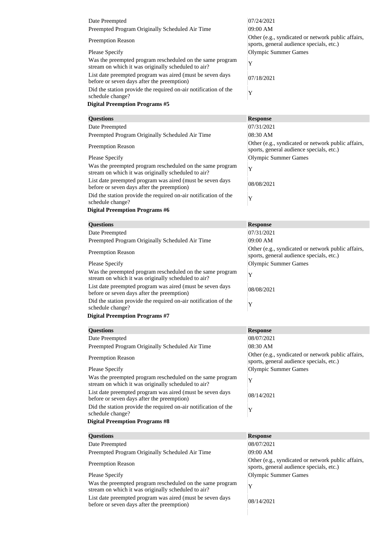| Date Preempted                                                                                                                                                                                                                                                                                   | 07/24/2021                                                                                     |
|--------------------------------------------------------------------------------------------------------------------------------------------------------------------------------------------------------------------------------------------------------------------------------------------------|------------------------------------------------------------------------------------------------|
| Preempted Program Originally Scheduled Air Time                                                                                                                                                                                                                                                  | 09:00 AM                                                                                       |
| <b>Preemption Reason</b>                                                                                                                                                                                                                                                                         | Other (e.g., syndicated or network public affairs,<br>sports, general audience specials, etc.) |
| <b>Please Specify</b>                                                                                                                                                                                                                                                                            | Olympic Summer Games                                                                           |
| Was the preempted program rescheduled on the same program<br>stream on which it was originally scheduled to air?                                                                                                                                                                                 | Y                                                                                              |
| List date preempted program was aired (must be seven days)<br>before or seven days after the preemption)                                                                                                                                                                                         | 07/18/2021                                                                                     |
| Did the station provide the required on-air notification of the<br>schedule change?                                                                                                                                                                                                              | Y                                                                                              |
| $\mathbf{D}^*$ . $\mathbf{D}$ and $\mathbf{D}$ and $\mathbf{D}$ and $\mathbf{D}$ and $\mathbf{D}$ and $\mathbf{D}$ and $\mathbf{D}$ and $\mathbf{D}$ and $\mathbf{D}$ and $\mathbf{D}$ and $\mathbf{D}$ and $\mathbf{D}$ and $\mathbf{D}$ and $\mathbf{D}$ and $\mathbf{D}$ and $\mathbf{D}$ and |                                                                                                |

| <b>Questions</b>                                                                                                 | <b>Response</b>                                                                                |
|------------------------------------------------------------------------------------------------------------------|------------------------------------------------------------------------------------------------|
| Date Preempted                                                                                                   | 07/31/2021                                                                                     |
| Preempted Program Originally Scheduled Air Time                                                                  | 08:30 AM                                                                                       |
| <b>Preemption Reason</b>                                                                                         | Other (e.g., syndicated or network public affairs,<br>sports, general audience specials, etc.) |
| <b>Please Specify</b>                                                                                            | <b>Olympic Summer Games</b>                                                                    |
| Was the preempted program rescheduled on the same program<br>stream on which it was originally scheduled to air? | Y                                                                                              |
| List date preempted program was aired (must be seven days<br>before or seven days after the preemption)          | 08/08/2021                                                                                     |
| Did the station provide the required on-air notification of the<br>schedule change?                              | Y                                                                                              |
| <b>Digital Preemption Programs #6</b>                                                                            |                                                                                                |
| <b>Questions</b>                                                                                                 | <b>Response</b>                                                                                |
| Date Preempted                                                                                                   | 07/31/2021                                                                                     |
| Preempted Program Originally Scheduled Air Time                                                                  | 09:00 AM                                                                                       |
| <b>Preemption Reason</b>                                                                                         | Other (e.g., syndicated or network public affairs,<br>sports, general audience specials, etc.) |
| <b>Please Specify</b>                                                                                            | <b>Olympic Summer Games</b>                                                                    |
| Was the preempted program rescheduled on the same program<br>stream on which it was originally scheduled to air? | Y                                                                                              |
| List date preempted program was aired (must be seven days<br>before or seven days after the preemption)          | 08/08/2021                                                                                     |
| Did the station provide the required on-air notification of the<br>schedule change?                              | Y                                                                                              |
| <b>Digital Preemption Programs #7</b>                                                                            |                                                                                                |
| <b>Questions</b>                                                                                                 | <b>Response</b>                                                                                |
| Date Preempted                                                                                                   | 08/07/2021                                                                                     |
| Preempted Program Originally Scheduled Air Time                                                                  | 08:30 AM                                                                                       |
| <b>Preemption Reason</b>                                                                                         | Other (e.g., syndicated or network public affairs,<br>sports, general audience specials, etc.) |
| <b>Please Specify</b>                                                                                            | <b>Olympic Summer Games</b>                                                                    |
| Was the preempted program rescheduled on the same program<br>stream on which it was originally scheduled to air? | Y                                                                                              |
| List date preempted program was aired (must be seven days<br>before or seven days after the preemption)          | 08/14/2021                                                                                     |
| Did the station provide the required on-air notification of the<br>schedule change?                              | Y                                                                                              |
| <b>Digital Preemption Programs #8</b>                                                                            |                                                                                                |
| <b>Questions</b>                                                                                                 | <b>Response</b>                                                                                |
| Date Preempted                                                                                                   | 08/07/2021                                                                                     |
| Preempted Program Originally Scheduled Air Time                                                                  | 09:00 AM                                                                                       |
| <b>Preemption Reason</b>                                                                                         | Other (e.g., syndicated or network public affairs,                                             |
|                                                                                                                  | sports, general audience specials, etc.)                                                       |
| <b>Please Specify</b>                                                                                            | <b>Olympic Summer Games</b>                                                                    |
| Was the preempted program rescheduled on the same program<br>stream on which it was originally scheduled to air? | Y                                                                                              |

List date preempted program was aired (must be seven days 08/14/2021)<br>before or seven days after the preemption)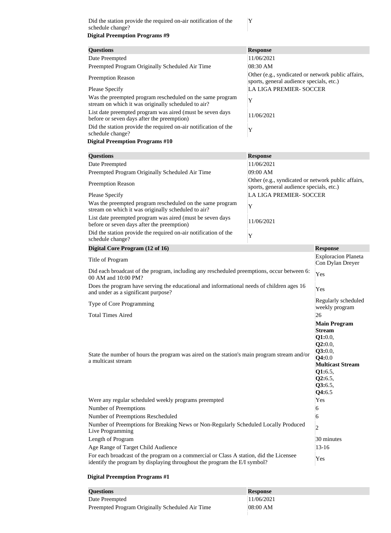| <b>Questions</b>                                                                                                 | <b>Response</b>                                                                                |
|------------------------------------------------------------------------------------------------------------------|------------------------------------------------------------------------------------------------|
| Date Preempted                                                                                                   | 11/06/2021                                                                                     |
| Preempted Program Originally Scheduled Air Time                                                                  | 08:30 AM                                                                                       |
| <b>Preemption Reason</b>                                                                                         | Other (e.g., syndicated or network public affairs,<br>sports, general audience specials, etc.) |
| <b>Please Specify</b>                                                                                            | <b>LA LIGA PREMIER- SOCCER</b>                                                                 |
| Was the preempted program rescheduled on the same program<br>stream on which it was originally scheduled to air? | Y                                                                                              |
| List date preempted program was aired (must be seven days<br>before or seven days after the preemption)          | 11/06/2021                                                                                     |
| Did the station provide the required on-air notification of the<br>schedule change?                              | Y                                                                                              |

| <b>Questions</b>                                                                                                                                                    | <b>Response</b>                                                                                                                                       |                                                |
|---------------------------------------------------------------------------------------------------------------------------------------------------------------------|-------------------------------------------------------------------------------------------------------------------------------------------------------|------------------------------------------------|
| Date Preempted                                                                                                                                                      | 11/06/2021                                                                                                                                            |                                                |
| Preempted Program Originally Scheduled Air Time                                                                                                                     | 09:00 AM                                                                                                                                              |                                                |
| <b>Preemption Reason</b>                                                                                                                                            | Other (e.g., syndicated or network public affairs,<br>sports, general audience specials, etc.)                                                        |                                                |
| <b>Please Specify</b>                                                                                                                                               | <b>LA LIGA PREMIER- SOCCER</b>                                                                                                                        |                                                |
| Was the preempted program rescheduled on the same program<br>stream on which it was originally scheduled to air?                                                    | Y                                                                                                                                                     |                                                |
| List date preempted program was aired (must be seven days<br>before or seven days after the preemption)                                                             | 11/06/2021                                                                                                                                            |                                                |
| Did the station provide the required on-air notification of the<br>schedule change?                                                                                 | Y                                                                                                                                                     |                                                |
| Digital Core Program (12 of 16)                                                                                                                                     |                                                                                                                                                       | <b>Response</b>                                |
| Title of Program                                                                                                                                                    |                                                                                                                                                       | <b>Exploracion Planeta</b><br>Con Dylan Dreyer |
| Did each broadcast of the program, including any rescheduled preemptions, occur between 6:<br>00 AM and 10:00 PM?                                                   |                                                                                                                                                       | Yes                                            |
| Does the program have serving the educational and informational needs of children ages 16<br>and under as a significant purpose?                                    |                                                                                                                                                       | Yes                                            |
| Type of Core Programming                                                                                                                                            |                                                                                                                                                       | Regularly scheduled<br>weekly program          |
| <b>Total Times Aired</b>                                                                                                                                            |                                                                                                                                                       | 26                                             |
| State the number of hours the program was aired on the station's main program stream and/or<br>a multicast stream                                                   | <b>Main Program</b><br><b>Stream</b><br>Q1:0.0,<br>Q2:0.0,<br>Q3:0.0,<br>Q4:0.0<br><b>Multicast Stream</b><br>Q1:6.5,<br>Q2:6.5,<br>Q3:6.5,<br>Q4:6.5 |                                                |
| Were any regular scheduled weekly programs preempted                                                                                                                |                                                                                                                                                       | Yes                                            |
| Number of Preemptions                                                                                                                                               |                                                                                                                                                       | 6                                              |
| Number of Preemptions Rescheduled                                                                                                                                   |                                                                                                                                                       | 6                                              |
| Number of Preemptions for Breaking News or Non-Regularly Scheduled Locally Produced<br>Live Programming                                                             |                                                                                                                                                       | 2                                              |
| Length of Program                                                                                                                                                   |                                                                                                                                                       | 30 minutes                                     |
| Age Range of Target Child Audience                                                                                                                                  |                                                                                                                                                       | $13 - 16$                                      |
| For each broadcast of the program on a commercial or Class A station, did the Licensee<br>identify the program by displaying throughout the program the E/I symbol? |                                                                                                                                                       | Yes                                            |

#### **Digital Preemption Programs #1**

| <b>Questions</b>                                | <b>Response</b>      |
|-------------------------------------------------|----------------------|
| Date Preempted                                  | 11/06/2021           |
| Preempted Program Originally Scheduled Air Time | $ 08:00 \text{ AM} $ |

Y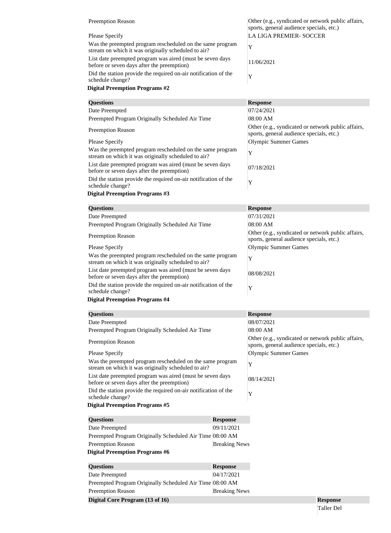| <b>Preemption Reason</b>                                                                                         | Other (e.g., syndicated or network public affairs,<br>sports, general audience specials, etc.) |
|------------------------------------------------------------------------------------------------------------------|------------------------------------------------------------------------------------------------|
| Please Specify                                                                                                   | LA LIGA PREMIER-SOCCER                                                                         |
| Was the preempted program rescheduled on the same program<br>stream on which it was originally scheduled to air? |                                                                                                |
| List date preempted program was aired (must be seven days)<br>before or seven days after the preemption)         | 11/06/2021                                                                                     |
| Did the station provide the required on-air notification of the<br>schedule change?                              |                                                                                                |

| <b>Questions</b>                                                                                                 | <b>Response</b>                                                                                |
|------------------------------------------------------------------------------------------------------------------|------------------------------------------------------------------------------------------------|
| Date Preempted                                                                                                   | 07/24/2021                                                                                     |
| Preempted Program Originally Scheduled Air Time                                                                  | 08:00 AM                                                                                       |
| <b>Preemption Reason</b>                                                                                         | Other (e.g., syndicated or network public affairs,<br>sports, general audience specials, etc.) |
| Please Specify                                                                                                   | Olympic Summer Games                                                                           |
| Was the preempted program rescheduled on the same program<br>stream on which it was originally scheduled to air? | Y                                                                                              |
| List date preempted program was aired (must be seven days)<br>before or seven days after the preemption)         | 07/18/2021                                                                                     |
| Did the station provide the required on-air notification of the<br>schedule change?                              | Y                                                                                              |

| <b>Questions</b>                                                                                                 | <b>Response</b>                                                                                |  |
|------------------------------------------------------------------------------------------------------------------|------------------------------------------------------------------------------------------------|--|
| Date Preempted                                                                                                   | 07/31/2021                                                                                     |  |
| Preempted Program Originally Scheduled Air Time                                                                  | 08:00 AM                                                                                       |  |
| <b>Preemption Reason</b>                                                                                         | Other (e.g., syndicated or network public affairs,<br>sports, general audience specials, etc.) |  |
| <b>Please Specify</b>                                                                                            | Olympic Summer Games                                                                           |  |
| Was the preempted program rescheduled on the same program<br>stream on which it was originally scheduled to air? | Y                                                                                              |  |
| List date preempted program was aired (must be seven days<br>before or seven days after the preemption)          | 08/08/2021                                                                                     |  |
| Did the station provide the required on-air notification of the<br>schedule change?                              | Y                                                                                              |  |
| <b>Digital Preemption Programs #4</b>                                                                            |                                                                                                |  |
|                                                                                                                  |                                                                                                |  |
| <b>Questions</b>                                                                                                 | <b>Response</b>                                                                                |  |

|                                                                 | <b>TEP</b> MONDE                                                                               |
|-----------------------------------------------------------------|------------------------------------------------------------------------------------------------|
|                                                                 | 08/07/2021                                                                                     |
| Preempted Program Originally Scheduled Air Time                 | 08:00 AM                                                                                       |
|                                                                 | Other (e.g., syndicated or network public affairs,<br>sports, general audience specials, etc.) |
|                                                                 | <b>Olympic Summer Games</b>                                                                    |
| Was the preempted program rescheduled on the same program       | Y                                                                                              |
| List date preempted program was aired (must be seven days       | 08/14/2021                                                                                     |
| Did the station provide the required on-air notification of the | Y                                                                                              |
|                                                                 |                                                                                                |
| <b>Response</b>                                                 |                                                                                                |
| 09/11/2021                                                      |                                                                                                |
| Preempted Program Originally Scheduled Air Time 08:00 AM        |                                                                                                |
| <b>Breaking News</b>                                            |                                                                                                |
|                                                                 |                                                                                                |
|                                                                 |                                                                                                |
| 04/17/2021                                                      |                                                                                                |
| Preempted Program Originally Scheduled Air Time 08:00 AM        |                                                                                                |
| <b>Breaking News</b>                                            |                                                                                                |
|                                                                 | <b>Response</b>                                                                                |
|                                                                 | <b>Response</b>                                                                                |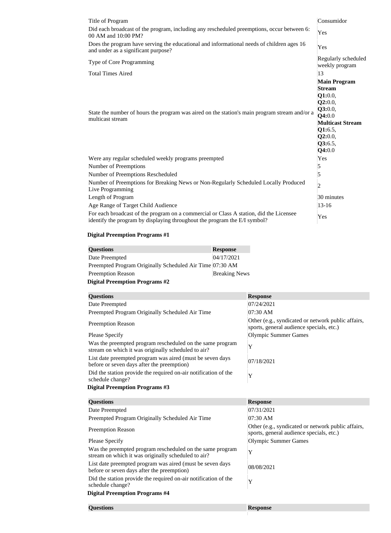| Title of Program                                                                                                                                                    | Consumidor                                                                                                                                            |
|---------------------------------------------------------------------------------------------------------------------------------------------------------------------|-------------------------------------------------------------------------------------------------------------------------------------------------------|
| Did each broadcast of the program, including any rescheduled preemptions, occur between 6:<br>00 AM and 10:00 PM?                                                   | Yes                                                                                                                                                   |
| Does the program have serving the educational and informational needs of children ages 16<br>and under as a significant purpose?                                    | Yes                                                                                                                                                   |
| Type of Core Programming                                                                                                                                            | Regularly scheduled<br>weekly program                                                                                                                 |
| <b>Total Times Aired</b>                                                                                                                                            | 13                                                                                                                                                    |
| State the number of hours the program was aired on the station's main program stream and/or a<br>multicast stream                                                   | <b>Main Program</b><br><b>Stream</b><br>Q1:0.0,<br>Q2:0.0,<br>Q3:0.0,<br>Q4:0.0<br><b>Multicast Stream</b><br>Q1:6.5,<br>Q2:0.0,<br>Q3:6.5,<br>Q4:0.0 |
| Were any regular scheduled weekly programs preempted                                                                                                                | Yes                                                                                                                                                   |
| Number of Preemptions                                                                                                                                               | 5                                                                                                                                                     |
| Number of Preemptions Rescheduled                                                                                                                                   | 5                                                                                                                                                     |
| Number of Preemptions for Breaking News or Non-Regularly Scheduled Locally Produced<br>Live Programming                                                             | $\overline{2}$                                                                                                                                        |
| Length of Program                                                                                                                                                   | 30 minutes                                                                                                                                            |
| Age Range of Target Child Audience                                                                                                                                  | $13 - 16$                                                                                                                                             |
| For each broadcast of the program on a commercial or Class A station, did the Licensee<br>identify the program by displaying throughout the program the E/I symbol? | Yes                                                                                                                                                   |

| <b>Questions</b>                                         | <b>Response</b>      |
|----------------------------------------------------------|----------------------|
| Date Preempted                                           | 04/17/2021           |
| Preempted Program Originally Scheduled Air Time 07:30 AM |                      |
| <b>Preemption Reason</b>                                 | <b>Breaking News</b> |
| <b>Digital Preemption Programs #2</b>                    |                      |

**Questions Response**

| <b>Questions</b>                                                                                                 | <b>Response</b>                                                                                |
|------------------------------------------------------------------------------------------------------------------|------------------------------------------------------------------------------------------------|
| Date Preempted                                                                                                   | 07/24/2021                                                                                     |
| Preempted Program Originally Scheduled Air Time                                                                  | 07:30 AM                                                                                       |
| <b>Preemption Reason</b>                                                                                         | Other (e.g., syndicated or network public affairs,<br>sports, general audience specials, etc.) |
| Please Specify                                                                                                   | Olympic Summer Games                                                                           |
| Was the preempted program rescheduled on the same program<br>stream on which it was originally scheduled to air? | Y                                                                                              |
| List date preempted program was aired (must be seven days<br>before or seven days after the preemption)          | 07/18/2021                                                                                     |
| Did the station provide the required on-air notification of the<br>schedule change?                              | Y                                                                                              |
| <b>Digital Preemption Programs #3</b>                                                                            |                                                                                                |
|                                                                                                                  |                                                                                                |
|                                                                                                                  |                                                                                                |
| <b>Questions</b>                                                                                                 | <b>Response</b>                                                                                |
| Date Preempted                                                                                                   | 07/31/2021                                                                                     |
| Preempted Program Originally Scheduled Air Time                                                                  | 07:30 AM                                                                                       |
| <b>Preemption Reason</b>                                                                                         | Other (e.g., syndicated or network public affairs,<br>sports, general audience specials, etc.) |
| <b>Please Specify</b>                                                                                            | Olympic Summer Games                                                                           |
| Was the preempted program rescheduled on the same program<br>stream on which it was originally scheduled to air? | Y                                                                                              |
| List date preempted program was aired (must be seven days<br>before or seven days after the preemption)          | 08/08/2021                                                                                     |
| Did the station provide the required on-air notification of the<br>schedule change?                              | Y                                                                                              |
| <b>Digital Preemption Programs #4</b>                                                                            |                                                                                                |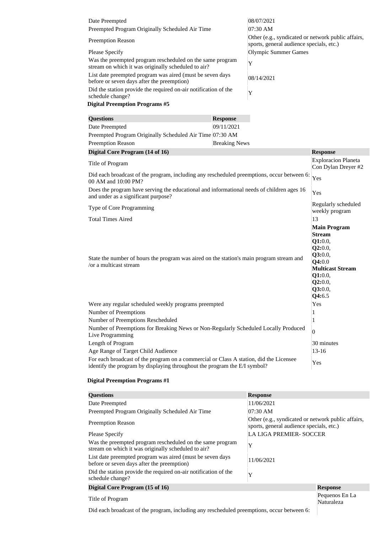| Date Preempted                                                                                                   | 08/07/2021                                                                                     |
|------------------------------------------------------------------------------------------------------------------|------------------------------------------------------------------------------------------------|
| Preempted Program Originally Scheduled Air Time                                                                  | 07:30 AM                                                                                       |
| <b>Preemption Reason</b>                                                                                         | Other (e.g., syndicated or network public affairs,<br>sports, general audience specials, etc.) |
| <b>Please Specify</b>                                                                                            | Olympic Summer Games                                                                           |
| Was the preempted program rescheduled on the same program<br>stream on which it was originally scheduled to air? | Y                                                                                              |
| List date preempted program was aired (must be seven days)<br>before or seven days after the preemption)         | 08/14/2021                                                                                     |
| Did the station provide the required on-air notification of the<br>schedule change?                              | Y                                                                                              |
| <b>Digital Preemption Programs #5</b>                                                                            |                                                                                                |

| <b>Questions</b>                                         | <b>Response</b>      |
|----------------------------------------------------------|----------------------|
| Date Preempted                                           | 09/11/2021           |
| Preempted Program Originally Scheduled Air Time 07:30 AM |                      |
| <b>Preemption Reason</b>                                 | <b>Breaking News</b> |

| Digital Core Program (14 of 16)                                                                                                                                     | <b>Response</b>                                                                                                                                       |
|---------------------------------------------------------------------------------------------------------------------------------------------------------------------|-------------------------------------------------------------------------------------------------------------------------------------------------------|
| Title of Program                                                                                                                                                    | <b>Exploracion Planeta</b><br>Con Dylan Dreyer #2                                                                                                     |
| Did each broadcast of the program, including any rescheduled preemptions, occur between 6:<br>00 AM and 10:00 PM?                                                   | Yes                                                                                                                                                   |
| Does the program have serving the educational and informational needs of children ages 16<br>and under as a significant purpose?                                    | Yes                                                                                                                                                   |
| Type of Core Programming                                                                                                                                            | Regularly scheduled<br>weekly program                                                                                                                 |
| <b>Total Times Aired</b>                                                                                                                                            | 13                                                                                                                                                    |
| State the number of hours the program was aired on the station's main program stream and<br>/or a multicast stream                                                  | <b>Main Program</b><br><b>Stream</b><br>Q1:0.0,<br>Q2:0.0,<br>Q3:0.0,<br>Q4:0.0<br><b>Multicast Stream</b><br>Q1:0.0,<br>Q2:0.0,<br>Q3:0.0,<br>Q4:6.5 |
| Were any regular scheduled weekly programs preempted                                                                                                                | Yes                                                                                                                                                   |
| Number of Preemptions                                                                                                                                               | 1                                                                                                                                                     |
| Number of Preemptions Rescheduled                                                                                                                                   | 1                                                                                                                                                     |
| Number of Preemptions for Breaking News or Non-Regularly Scheduled Locally Produced<br>Live Programming                                                             | $\overline{0}$                                                                                                                                        |
| Length of Program                                                                                                                                                   | 30 minutes                                                                                                                                            |
| Age Range of Target Child Audience                                                                                                                                  | $13 - 16$                                                                                                                                             |
| For each broadcast of the program on a commercial or Class A station, did the Licensee<br>identify the program by displaying throughout the program the E/I symbol? | Yes                                                                                                                                                   |

| <b>Questions</b>                                                                                                 | <b>Response</b>                                                                                |                              |
|------------------------------------------------------------------------------------------------------------------|------------------------------------------------------------------------------------------------|------------------------------|
| Date Preempted                                                                                                   | 11/06/2021                                                                                     |                              |
| Preempted Program Originally Scheduled Air Time                                                                  | 07:30 AM                                                                                       |                              |
| <b>Preemption Reason</b>                                                                                         | Other (e.g., syndicated or network public affairs,<br>sports, general audience specials, etc.) |                              |
| <b>Please Specify</b>                                                                                            | <b>LA LIGA PREMIER- SOCCER</b>                                                                 |                              |
| Was the preempted program rescheduled on the same program<br>stream on which it was originally scheduled to air? | Y                                                                                              |                              |
| List date preempted program was aired (must be seven days<br>before or seven days after the preemption)          | 11/06/2021                                                                                     |                              |
| Did the station provide the required on-air notification of the<br>schedule change?                              | Y                                                                                              |                              |
| Digital Core Program (15 of 16)                                                                                  |                                                                                                | <b>Response</b>              |
| Title of Program                                                                                                 |                                                                                                | Pequenos En La<br>Naturaleza |

Did each broadcast of the program, including any rescheduled preemptions, occur between 6: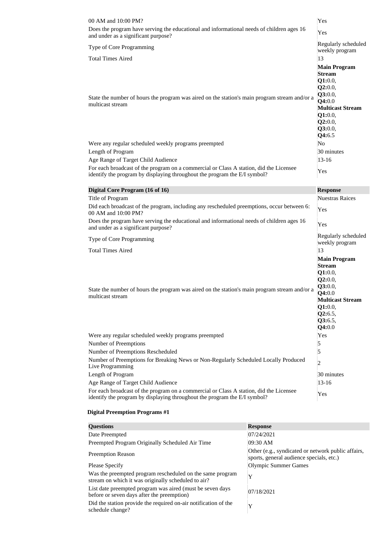| 00 AM and 10:00 PM?                                                                                                                                                 | Yes                                                                                                                                                   |
|---------------------------------------------------------------------------------------------------------------------------------------------------------------------|-------------------------------------------------------------------------------------------------------------------------------------------------------|
| Does the program have serving the educational and informational needs of children ages 16<br>and under as a significant purpose?                                    | Yes                                                                                                                                                   |
| Type of Core Programming                                                                                                                                            | Regularly scheduled<br>weekly program                                                                                                                 |
| <b>Total Times Aired</b>                                                                                                                                            | 13                                                                                                                                                    |
| State the number of hours the program was aired on the station's main program stream and/or a<br>multicast stream                                                   | <b>Main Program</b><br><b>Stream</b><br>Q1:0.0,<br>Q2:0.0,<br>Q3:0.0,<br>Q4:0.0<br><b>Multicast Stream</b><br>Q1:0.0,<br>Q2:0.0,<br>Q3:0.0,<br>Q4:6.5 |
| Were any regular scheduled weekly programs preempted                                                                                                                | No                                                                                                                                                    |
| Length of Program                                                                                                                                                   | 30 minutes                                                                                                                                            |
| Age Range of Target Child Audience                                                                                                                                  | $13 - 16$                                                                                                                                             |
| For each broadcast of the program on a commercial or Class A station, did the Licensee<br>identify the program by displaying throughout the program the E/I symbol? | Yes                                                                                                                                                   |
| Digital Core Program (16 of 16)                                                                                                                                     | <b>Response</b>                                                                                                                                       |
| Title of Program                                                                                                                                                    | <b>Nuestras Raices</b>                                                                                                                                |
| Did each broadcast of the program, including any rescheduled preemptions, occur between 6:<br>00 AM and 10:00 PM?                                                   | Yes                                                                                                                                                   |
| Does the program have serving the educational and informational needs of children ages 16<br>and under as a significant purpose?                                    | Yes                                                                                                                                                   |
| <b>Type of Core Programming</b>                                                                                                                                     | Regularly scheduled<br>weekly program                                                                                                                 |
| <b>Total Times Aired</b>                                                                                                                                            | 13                                                                                                                                                    |
|                                                                                                                                                                     | <b>Main Program</b><br><b>Stream</b>                                                                                                                  |
| State the number of hours the program was aired on the station's main program stream and/or a<br>multicast stream                                                   | Q1:0.0,<br>Q2:0.0,<br>Q3:0.0,<br>Q4:0.0<br><b>Multicast Stream</b><br>Q1:0.0,<br>Q2:6.5,<br>Q3:6.5,<br>Q4:0.0                                         |
| Were any regular scheduled weekly programs preempted                                                                                                                | Yes                                                                                                                                                   |
| Number of Preemptions                                                                                                                                               | 5                                                                                                                                                     |
| Number of Preemptions Rescheduled                                                                                                                                   | 5                                                                                                                                                     |
| Number of Preemptions for Breaking News or Non-Regularly Scheduled Locally Produced<br>Live Programming                                                             | 2                                                                                                                                                     |
| Length of Program                                                                                                                                                   | 30 minutes                                                                                                                                            |
| Age Range of Target Child Audience<br>For each broadcast of the program on a commercial or Class A station, did the Licensee                                        | $13 - 16$                                                                                                                                             |

| <b>Questions</b>                                                                                                 | <b>Response</b>                                                                                |
|------------------------------------------------------------------------------------------------------------------|------------------------------------------------------------------------------------------------|
| Date Preempted                                                                                                   | 07/24/2021                                                                                     |
| Preempted Program Originally Scheduled Air Time                                                                  | 09:30 AM                                                                                       |
| <b>Preemption Reason</b>                                                                                         | Other (e.g., syndicated or network public affairs,<br>sports, general audience specials, etc.) |
| Please Specify                                                                                                   | Olympic Summer Games                                                                           |
| Was the preempted program rescheduled on the same program<br>stream on which it was originally scheduled to air? | Y                                                                                              |
| List date preempted program was aired (must be seven days<br>before or seven days after the preemption)          | 07/18/2021                                                                                     |
| Did the station provide the required on-air notification of the<br>schedule change?                              | Y                                                                                              |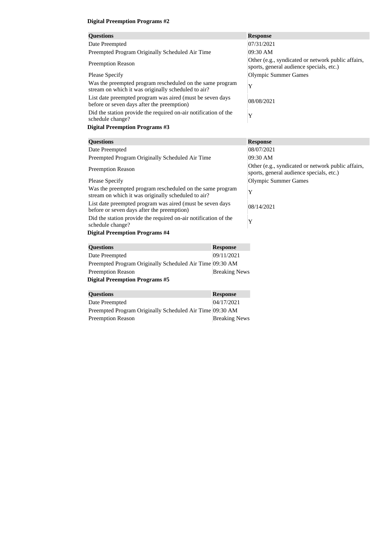| <b>Questions</b>                                                                                                 | <b>Response</b>                                                                                |
|------------------------------------------------------------------------------------------------------------------|------------------------------------------------------------------------------------------------|
| Date Preempted                                                                                                   | 07/31/2021                                                                                     |
| Preempted Program Originally Scheduled Air Time                                                                  | 09:30 AM                                                                                       |
| <b>Preemption Reason</b>                                                                                         | Other (e.g., syndicated or network public affairs,<br>sports, general audience specials, etc.) |
| <b>Please Specify</b>                                                                                            | Olympic Summer Games                                                                           |
| Was the preempted program rescheduled on the same program<br>stream on which it was originally scheduled to air? | Y                                                                                              |
| List date preempted program was aired (must be seven days<br>before or seven days after the preemption)          | 08/08/2021                                                                                     |
| Did the station provide the required on-air notification of the<br>schedule change?                              | Y                                                                                              |
| <b>Digital Preemption Programs #3</b>                                                                            |                                                                                                |
| <b>Questions</b>                                                                                                 | <b>Response</b>                                                                                |

| <b>Questions</b>                                                                                                 |                                                                                                | <b>Response</b> |
|------------------------------------------------------------------------------------------------------------------|------------------------------------------------------------------------------------------------|-----------------|
| Date Preempted                                                                                                   |                                                                                                | 08/07/2021      |
| Preempted Program Originally Scheduled Air Time                                                                  |                                                                                                | 09:30 AM        |
| <b>Preemption Reason</b>                                                                                         | Other (e.g., syndicated or network public affairs,<br>sports, general audience specials, etc.) |                 |
| Please Specify                                                                                                   |                                                                                                |                 |
| Was the preempted program rescheduled on the same program<br>stream on which it was originally scheduled to air? |                                                                                                | Y               |
| List date preempted program was aired (must be seven days<br>before or seven days after the preemption)          |                                                                                                | 08/14/2021      |
| Did the station provide the required on-air notification of the<br>schedule change?                              |                                                                                                | Y               |
| <b>Digital Preemption Programs #4</b>                                                                            |                                                                                                |                 |
| <b>Questions</b>                                                                                                 | <b>Response</b>                                                                                |                 |
| Date Preempted                                                                                                   | 09/11/2021                                                                                     |                 |

| Date Preempted                                           | 09/11/2021           |
|----------------------------------------------------------|----------------------|
| Preempted Program Originally Scheduled Air Time 09:30 AM |                      |
| <b>Preemption Reason</b>                                 | <b>Breaking News</b> |
| <b>Digital Preemption Programs #5</b>                    |                      |
|                                                          |                      |
| <b>Questions</b>                                         | <b>Response</b>      |
| $\Gamma$ <sub>ata</sub> $\Gamma$ <sub>naamata</sub> J    | 0.4/17/001           |

| Date Preempted                                           | 04/17/2021           |
|----------------------------------------------------------|----------------------|
| Preempted Program Originally Scheduled Air Time 09:30 AM |                      |
| <b>Preemption Reason</b>                                 | <b>Breaking News</b> |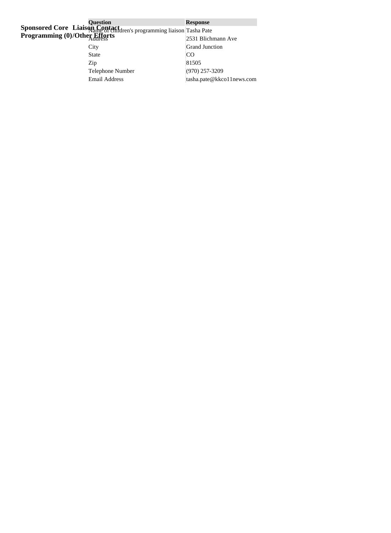| <b>Question</b>                                                               | <b>Response</b>           |
|-------------------------------------------------------------------------------|---------------------------|
| Sponsored Core Liaison Contact<br>of enidren's programming liaison Tasha Pate |                           |
| <b>Programming (0)/Other Efforts</b>                                          | 2531 Blichmann Ave        |
| City                                                                          | <b>Grand Junction</b>     |
| <b>State</b>                                                                  | CO                        |
| Zip                                                                           | 81505                     |
| <b>Telephone Number</b>                                                       | $(970)$ 257-3209          |
| <b>Email Address</b>                                                          | tasha.pate@kkco11news.com |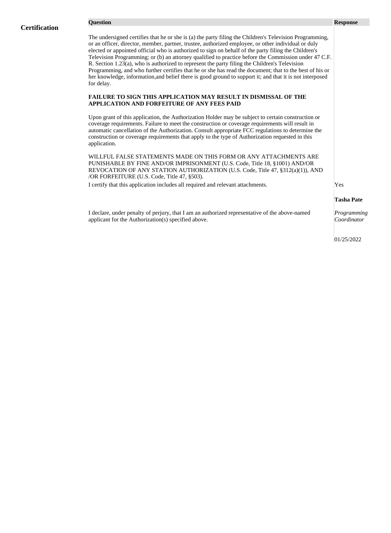The undersigned certifies that he or she is (a) the party filing the Children's Television Programming, or an officer, director, member, partner, trustee, authorized employee, or other individual or duly elected or appointed official who is authorized to sign on behalf of the party filing the Children's Television Programming; or (b) an attorney qualified to practice before the Commission under 47 C.F. R. Section 1.23(a), who is authorized to represent the party filing the Children's Television Programming, and who further certifies that he or she has read the document; that to the best of his or her knowledge, information,and belief there is good ground to support it; and that it is not interposed for delay.

#### **FAILURE TO SIGN THIS APPLICATION MAY RESULT IN DISMISSAL OF THE APPLICATION AND FORFEITURE OF ANY FEES PAID**

Upon grant of this application, the Authorization Holder may be subject to certain construction or coverage requirements. Failure to meet the construction or coverage requirements will result in automatic cancellation of the Authorization. Consult appropriate FCC regulations to determine the construction or coverage requirements that apply to the type of Authorization requested in this application.

WILLFUL FALSE STATEMENTS MADE ON THIS FORM OR ANY ATTACHMENTS ARE PUNISHABLE BY FINE AND/OR IMPRISONMENT (U.S. Code, Title 18, §1001) AND/OR REVOCATION OF ANY STATION AUTHORIZATION (U.S. Code, Title 47, §312(a)(1)), AND /OR FORFEITURE (U.S. Code, Title 47, §503).

I certify that this application includes all required and relevant attachments. Yes

#### **Tasha Pate**

I declare, under penalty of perjury, that I am an authorized representative of the above-named applicant for the Authorization(s) specified above.

*Programming Coordinator*

01/25/2022